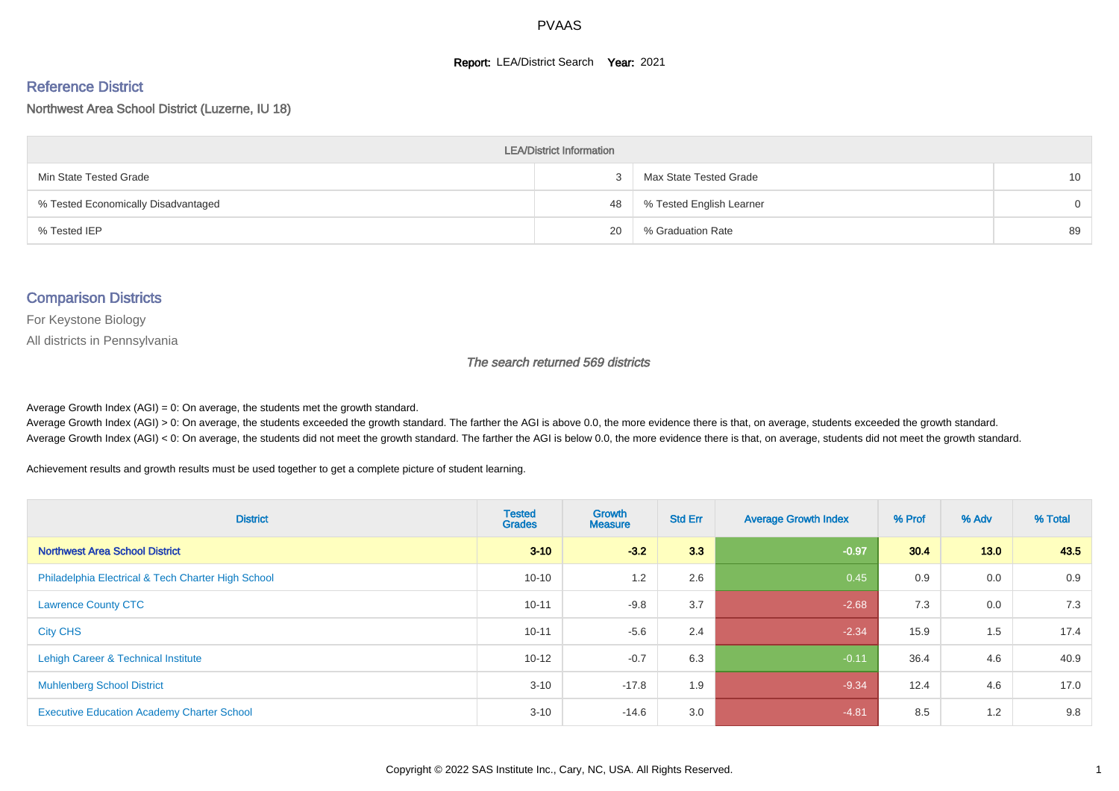#### **Report: LEA/District Search Year: 2021**

#### Reference District

#### Northwest Area School District (Luzerne, IU 18)

| <b>LEA/District Information</b>     |    |                          |          |  |  |  |  |  |  |  |
|-------------------------------------|----|--------------------------|----------|--|--|--|--|--|--|--|
| Min State Tested Grade              |    | Max State Tested Grade   | 10       |  |  |  |  |  |  |  |
| % Tested Economically Disadvantaged | 48 | % Tested English Learner | $\Omega$ |  |  |  |  |  |  |  |
| % Tested IEP                        | 20 | % Graduation Rate        | 89       |  |  |  |  |  |  |  |

#### Comparison Districts

For Keystone Biology

All districts in Pennsylvania

The search returned 569 districts

Average Growth Index  $(AGI) = 0$ : On average, the students met the growth standard.

Average Growth Index (AGI) > 0: On average, the students exceeded the growth standard. The farther the AGI is above 0.0, the more evidence there is that, on average, students exceeded the growth standard. Average Growth Index (AGI) < 0: On average, the students did not meet the growth standard. The farther the AGI is below 0.0, the more evidence there is that, on average, students did not meet the growth standard.

Achievement results and growth results must be used together to get a complete picture of student learning.

| <b>District</b>                                    | <b>Tested</b><br><b>Grades</b> | <b>Growth</b><br><b>Measure</b> | <b>Std Err</b> | <b>Average Growth Index</b> | % Prof | % Adv | % Total |
|----------------------------------------------------|--------------------------------|---------------------------------|----------------|-----------------------------|--------|-------|---------|
| <b>Northwest Area School District</b>              | $3 - 10$                       | $-3.2$                          | 3.3            | $-0.97$                     | 30.4   | 13.0  | 43.5    |
| Philadelphia Electrical & Tech Charter High School | $10 - 10$                      | 1.2                             | 2.6            | 0.45                        | 0.9    | 0.0   | 0.9     |
| <b>Lawrence County CTC</b>                         | $10 - 11$                      | $-9.8$                          | 3.7            | $-2.68$                     | 7.3    | 0.0   | 7.3     |
| <b>City CHS</b>                                    | $10 - 11$                      | $-5.6$                          | 2.4            | $-2.34$                     | 15.9   | 1.5   | 17.4    |
| Lehigh Career & Technical Institute                | $10 - 12$                      | $-0.7$                          | 6.3            | $-0.11$                     | 36.4   | 4.6   | 40.9    |
| <b>Muhlenberg School District</b>                  | $3 - 10$                       | $-17.8$                         | 1.9            | $-9.34$                     | 12.4   | 4.6   | 17.0    |
| <b>Executive Education Academy Charter School</b>  | $3 - 10$                       | $-14.6$                         | 3.0            | $-4.81$                     | 8.5    | 1.2   | 9.8     |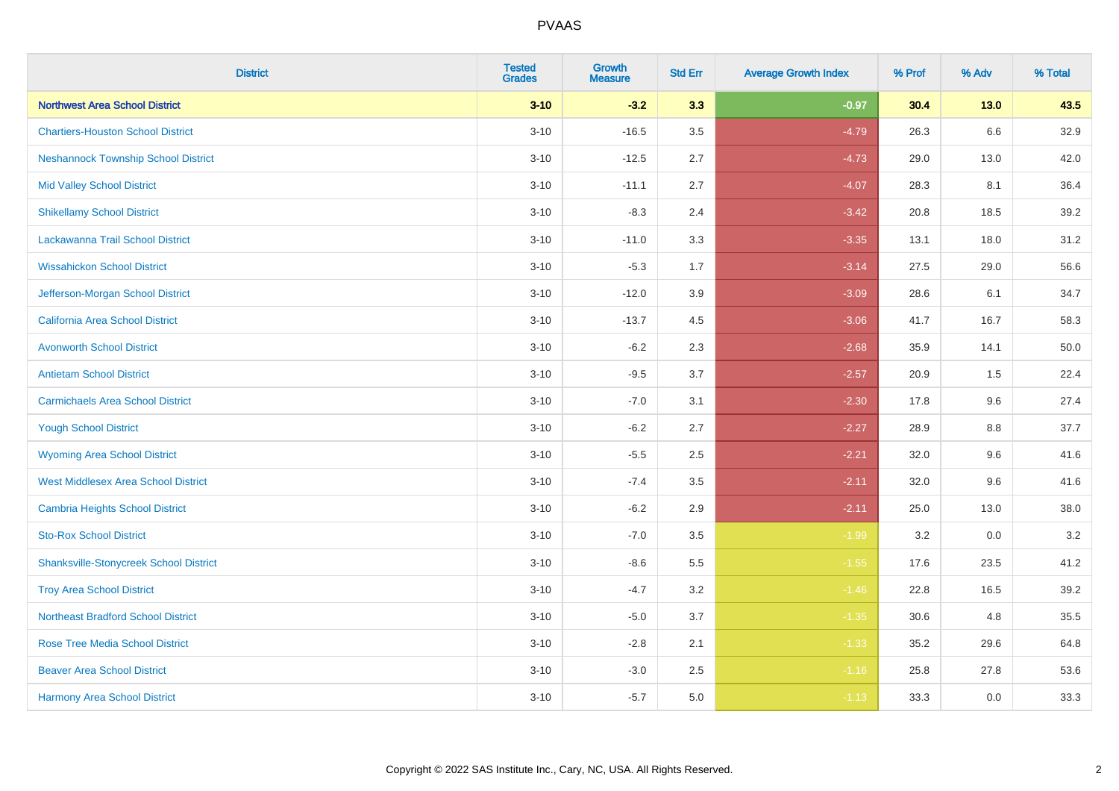| <b>District</b>                               | <b>Tested</b><br><b>Grades</b> | <b>Growth</b><br><b>Measure</b> | <b>Std Err</b> | <b>Average Growth Index</b> | % Prof | % Adv  | % Total |
|-----------------------------------------------|--------------------------------|---------------------------------|----------------|-----------------------------|--------|--------|---------|
| <b>Northwest Area School District</b>         | $3 - 10$                       | $-3.2$                          | 3.3            | $-0.97$                     | 30.4   | $13.0$ | 43.5    |
| <b>Chartiers-Houston School District</b>      | $3 - 10$                       | $-16.5$                         | 3.5            | $-4.79$                     | 26.3   | 6.6    | 32.9    |
| <b>Neshannock Township School District</b>    | $3 - 10$                       | $-12.5$                         | 2.7            | $-4.73$                     | 29.0   | 13.0   | 42.0    |
| <b>Mid Valley School District</b>             | $3 - 10$                       | $-11.1$                         | 2.7            | $-4.07$                     | 28.3   | 8.1    | 36.4    |
| <b>Shikellamy School District</b>             | $3 - 10$                       | $-8.3$                          | 2.4            | $-3.42$                     | 20.8   | 18.5   | 39.2    |
| Lackawanna Trail School District              | $3 - 10$                       | $-11.0$                         | 3.3            | $-3.35$                     | 13.1   | 18.0   | 31.2    |
| <b>Wissahickon School District</b>            | $3 - 10$                       | $-5.3$                          | 1.7            | $-3.14$                     | 27.5   | 29.0   | 56.6    |
| Jefferson-Morgan School District              | $3 - 10$                       | $-12.0$                         | 3.9            | $-3.09$                     | 28.6   | 6.1    | 34.7    |
| California Area School District               | $3 - 10$                       | $-13.7$                         | 4.5            | $-3.06$                     | 41.7   | 16.7   | 58.3    |
| <b>Avonworth School District</b>              | $3 - 10$                       | $-6.2$                          | 2.3            | $-2.68$                     | 35.9   | 14.1   | 50.0    |
| <b>Antietam School District</b>               | $3 - 10$                       | $-9.5$                          | 3.7            | $-2.57$                     | 20.9   | 1.5    | 22.4    |
| <b>Carmichaels Area School District</b>       | $3 - 10$                       | $-7.0$                          | 3.1            | $-2.30$                     | 17.8   | 9.6    | 27.4    |
| <b>Yough School District</b>                  | $3 - 10$                       | $-6.2$                          | 2.7            | $-2.27$                     | 28.9   | 8.8    | 37.7    |
| <b>Wyoming Area School District</b>           | $3 - 10$                       | $-5.5$                          | 2.5            | $-2.21$                     | 32.0   | 9.6    | 41.6    |
| <b>West Middlesex Area School District</b>    | $3 - 10$                       | $-7.4$                          | 3.5            | $-2.11$                     | 32.0   | 9.6    | 41.6    |
| <b>Cambria Heights School District</b>        | $3 - 10$                       | $-6.2$                          | 2.9            | $-2.11$                     | 25.0   | 13.0   | 38.0    |
| <b>Sto-Rox School District</b>                | $3 - 10$                       | $-7.0$                          | 3.5            | $-1.99$                     | 3.2    | 0.0    | 3.2     |
| <b>Shanksville-Stonycreek School District</b> | $3 - 10$                       | $-8.6$                          | 5.5            | $-1.55$                     | 17.6   | 23.5   | 41.2    |
| <b>Troy Area School District</b>              | $3 - 10$                       | $-4.7$                          | 3.2            | $-1.46$                     | 22.8   | 16.5   | 39.2    |
| <b>Northeast Bradford School District</b>     | $3 - 10$                       | $-5.0$                          | 3.7            | $-1.35$                     | 30.6   | 4.8    | 35.5    |
| <b>Rose Tree Media School District</b>        | $3 - 10$                       | $-2.8$                          | 2.1            | $-1.33$                     | 35.2   | 29.6   | 64.8    |
| <b>Beaver Area School District</b>            | $3 - 10$                       | $-3.0$                          | 2.5            | $-1.16$                     | 25.8   | 27.8   | 53.6    |
| <b>Harmony Area School District</b>           | $3 - 10$                       | $-5.7$                          | 5.0            | $-1.13$                     | 33.3   | 0.0    | 33.3    |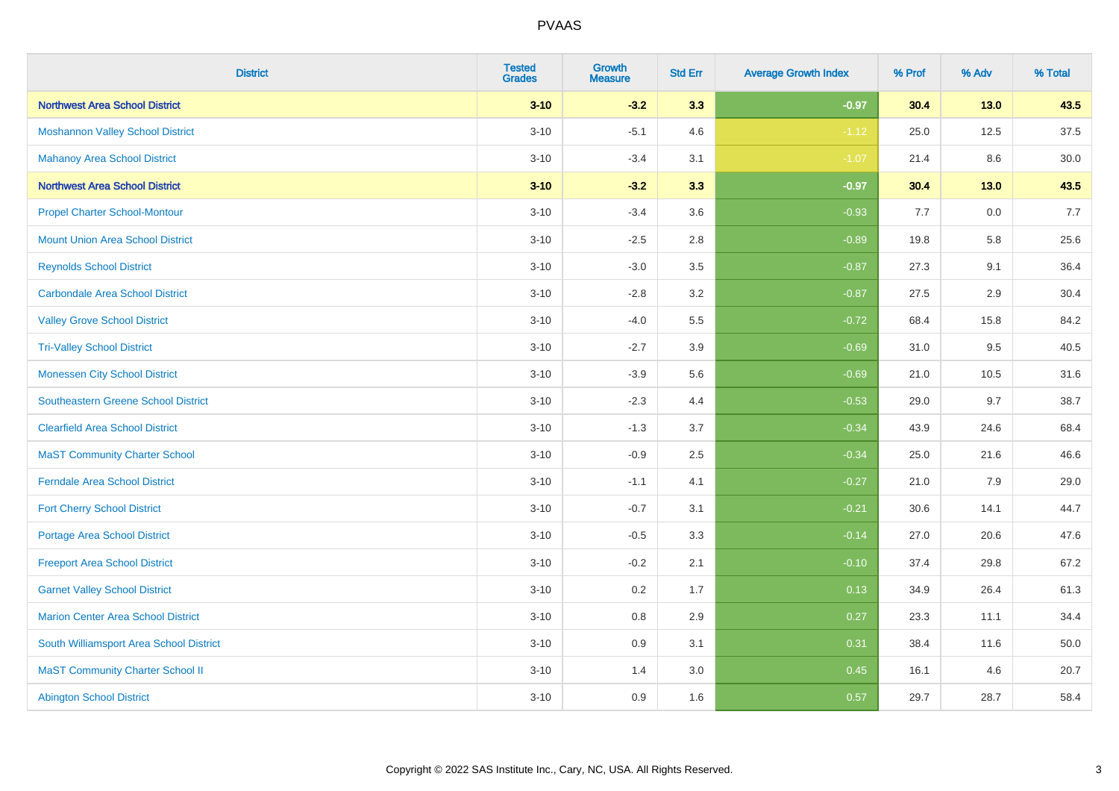| <b>District</b>                            | <b>Tested</b><br><b>Grades</b> | <b>Growth</b><br><b>Measure</b> | <b>Std Err</b> | <b>Average Growth Index</b> | % Prof | % Adv  | % Total |
|--------------------------------------------|--------------------------------|---------------------------------|----------------|-----------------------------|--------|--------|---------|
| <b>Northwest Area School District</b>      | $3 - 10$                       | $-3.2$                          | 3.3            | $-0.97$                     | 30.4   | 13.0   | 43.5    |
| <b>Moshannon Valley School District</b>    | $3 - 10$                       | $-5.1$                          | 4.6            | $-1.12$                     | 25.0   | 12.5   | 37.5    |
| <b>Mahanoy Area School District</b>        | $3 - 10$                       | $-3.4$                          | 3.1            | $-1.07$                     | 21.4   | 8.6    | 30.0    |
| <b>Northwest Area School District</b>      | $3 - 10$                       | $-3.2$                          | 3.3            | $-0.97$                     | 30.4   | $13.0$ | 43.5    |
| <b>Propel Charter School-Montour</b>       | $3 - 10$                       | $-3.4$                          | 3.6            | $-0.93$                     | 7.7    | 0.0    | 7.7     |
| <b>Mount Union Area School District</b>    | $3 - 10$                       | $-2.5$                          | 2.8            | $-0.89$                     | 19.8   | 5.8    | 25.6    |
| <b>Reynolds School District</b>            | $3 - 10$                       | $-3.0$                          | 3.5            | $-0.87$                     | 27.3   | 9.1    | 36.4    |
| <b>Carbondale Area School District</b>     | $3 - 10$                       | $-2.8$                          | 3.2            | $-0.87$                     | 27.5   | 2.9    | 30.4    |
| <b>Valley Grove School District</b>        | $3 - 10$                       | $-4.0$                          | 5.5            | $-0.72$                     | 68.4   | 15.8   | 84.2    |
| <b>Tri-Valley School District</b>          | $3 - 10$                       | $-2.7$                          | 3.9            | $-0.69$                     | 31.0   | 9.5    | 40.5    |
| <b>Monessen City School District</b>       | $3 - 10$                       | $-3.9$                          | 5.6            | $-0.69$                     | 21.0   | 10.5   | 31.6    |
| <b>Southeastern Greene School District</b> | $3 - 10$                       | $-2.3$                          | 4.4            | $-0.53$                     | 29.0   | 9.7    | 38.7    |
| <b>Clearfield Area School District</b>     | $3 - 10$                       | $-1.3$                          | 3.7            | $-0.34$                     | 43.9   | 24.6   | 68.4    |
| <b>MaST Community Charter School</b>       | $3 - 10$                       | $-0.9$                          | 2.5            | $-0.34$                     | 25.0   | 21.6   | 46.6    |
| <b>Ferndale Area School District</b>       | $3 - 10$                       | $-1.1$                          | 4.1            | $-0.27$                     | 21.0   | 7.9    | 29.0    |
| <b>Fort Cherry School District</b>         | $3 - 10$                       | $-0.7$                          | 3.1            | $-0.21$                     | 30.6   | 14.1   | 44.7    |
| <b>Portage Area School District</b>        | $3 - 10$                       | $-0.5$                          | 3.3            | $-0.14$                     | 27.0   | 20.6   | 47.6    |
| <b>Freeport Area School District</b>       | $3 - 10$                       | $-0.2$                          | 2.1            | $-0.10$                     | 37.4   | 29.8   | 67.2    |
| <b>Garnet Valley School District</b>       | $3 - 10$                       | 0.2                             | 1.7            | 0.13                        | 34.9   | 26.4   | 61.3    |
| <b>Marion Center Area School District</b>  | $3 - 10$                       | $0.8\,$                         | 2.9            | 0.27                        | 23.3   | 11.1   | 34.4    |
| South Williamsport Area School District    | $3 - 10$                       | 0.9                             | 3.1            | 0.31                        | 38.4   | 11.6   | 50.0    |
| <b>MaST Community Charter School II</b>    | $3 - 10$                       | 1.4                             | 3.0            | 0.45                        | 16.1   | 4.6    | 20.7    |
| <b>Abington School District</b>            | $3 - 10$                       | 0.9                             | 1.6            | 0.57                        | 29.7   | 28.7   | 58.4    |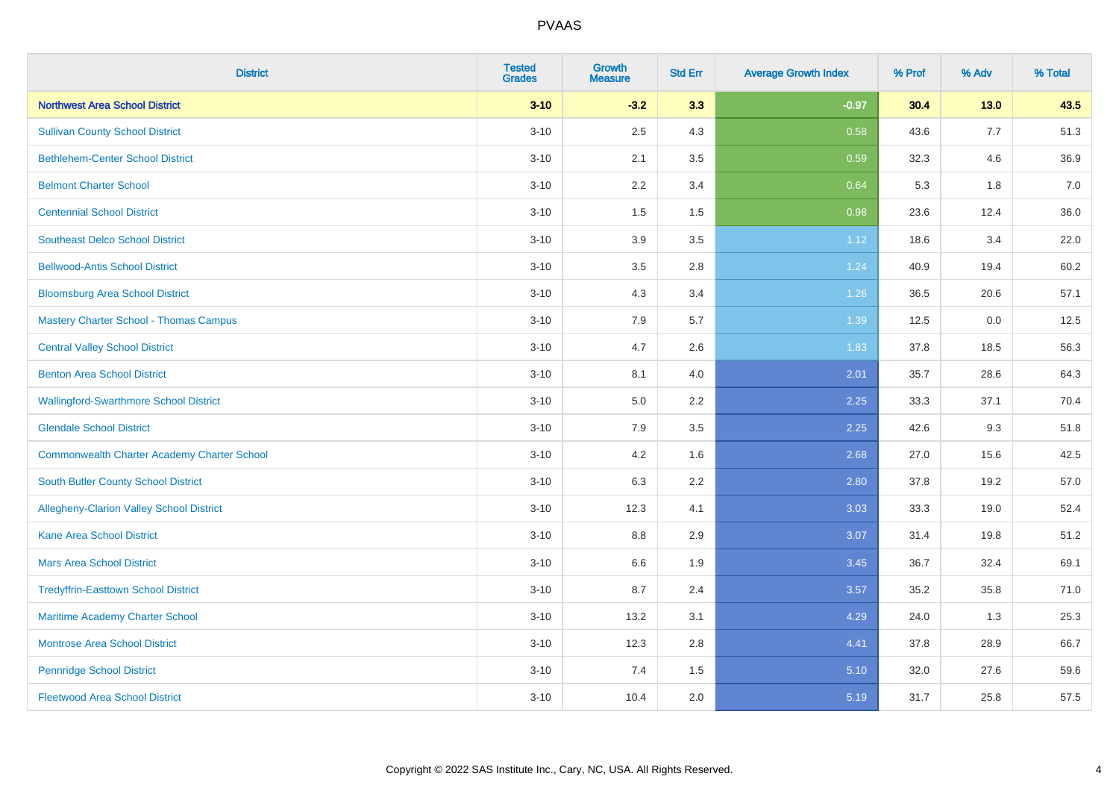| <b>District</b>                                    | <b>Tested</b><br><b>Grades</b> | <b>Growth</b><br><b>Measure</b> | <b>Std Err</b> | <b>Average Growth Index</b> | % Prof | % Adv  | % Total |
|----------------------------------------------------|--------------------------------|---------------------------------|----------------|-----------------------------|--------|--------|---------|
| <b>Northwest Area School District</b>              | $3 - 10$                       | $-3.2$                          | 3.3            | $-0.97$                     | 30.4   | $13.0$ | 43.5    |
| <b>Sullivan County School District</b>             | $3 - 10$                       | 2.5                             | 4.3            | 0.58                        | 43.6   | 7.7    | 51.3    |
| <b>Bethlehem-Center School District</b>            | $3 - 10$                       | 2.1                             | 3.5            | 0.59                        | 32.3   | 4.6    | 36.9    |
| <b>Belmont Charter School</b>                      | $3 - 10$                       | 2.2                             | 3.4            | 0.64                        | 5.3    | 1.8    | 7.0     |
| <b>Centennial School District</b>                  | $3 - 10$                       | 1.5                             | 1.5            | 0.98                        | 23.6   | 12.4   | 36.0    |
| <b>Southeast Delco School District</b>             | $3 - 10$                       | 3.9                             | 3.5            | 1.12                        | 18.6   | 3.4    | 22.0    |
| <b>Bellwood-Antis School District</b>              | $3 - 10$                       | 3.5                             | 2.8            | 1.24                        | 40.9   | 19.4   | 60.2    |
| <b>Bloomsburg Area School District</b>             | $3 - 10$                       | 4.3                             | 3.4            | 1.26                        | 36.5   | 20.6   | 57.1    |
| <b>Mastery Charter School - Thomas Campus</b>      | $3 - 10$                       | 7.9                             | 5.7            | 1.39                        | 12.5   | 0.0    | 12.5    |
| <b>Central Valley School District</b>              | $3 - 10$                       | 4.7                             | 2.6            | 1.83                        | 37.8   | 18.5   | 56.3    |
| <b>Benton Area School District</b>                 | $3 - 10$                       | 8.1                             | 4.0            | 2.01                        | 35.7   | 28.6   | 64.3    |
| <b>Wallingford-Swarthmore School District</b>      | $3 - 10$                       | 5.0                             | 2.2            | 2.25                        | 33.3   | 37.1   | 70.4    |
| <b>Glendale School District</b>                    | $3 - 10$                       | 7.9                             | 3.5            | 2.25                        | 42.6   | 9.3    | 51.8    |
| <b>Commonwealth Charter Academy Charter School</b> | $3 - 10$                       | 4.2                             | 1.6            | 2.68                        | 27.0   | 15.6   | 42.5    |
| South Butler County School District                | $3 - 10$                       | 6.3                             | 2.2            | 2.80                        | 37.8   | 19.2   | 57.0    |
| Allegheny-Clarion Valley School District           | $3 - 10$                       | 12.3                            | 4.1            | 3.03                        | 33.3   | 19.0   | 52.4    |
| <b>Kane Area School District</b>                   | $3 - 10$                       | 8.8                             | 2.9            | 3.07                        | 31.4   | 19.8   | 51.2    |
| <b>Mars Area School District</b>                   | $3 - 10$                       | 6.6                             | 1.9            | 3.45                        | 36.7   | 32.4   | 69.1    |
| <b>Tredyffrin-Easttown School District</b>         | $3 - 10$                       | 8.7                             | 2.4            | 3.57                        | 35.2   | 35.8   | 71.0    |
| Maritime Academy Charter School                    | $3 - 10$                       | 13.2                            | 3.1            | 4.29                        | 24.0   | 1.3    | 25.3    |
| <b>Montrose Area School District</b>               | $3 - 10$                       | 12.3                            | 2.8            | 4.41                        | 37.8   | 28.9   | 66.7    |
| <b>Pennridge School District</b>                   | $3 - 10$                       | 7.4                             | 1.5            | 5.10                        | 32.0   | 27.6   | 59.6    |
| <b>Fleetwood Area School District</b>              | $3 - 10$                       | 10.4                            | 2.0            | 5.19                        | 31.7   | 25.8   | 57.5    |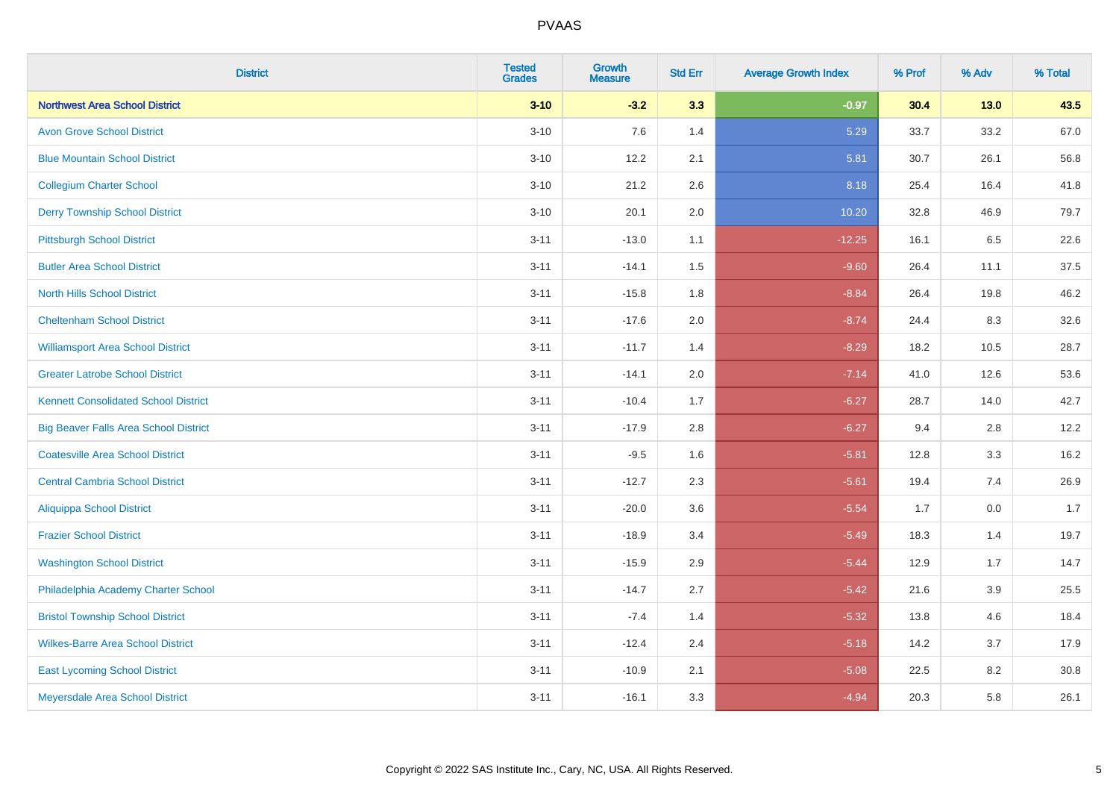| <b>District</b>                              | <b>Tested</b><br><b>Grades</b> | <b>Growth</b><br><b>Measure</b> | <b>Std Err</b> | <b>Average Growth Index</b> | % Prof | % Adv   | % Total |
|----------------------------------------------|--------------------------------|---------------------------------|----------------|-----------------------------|--------|---------|---------|
| <b>Northwest Area School District</b>        | $3 - 10$                       | $-3.2$                          | 3.3            | $-0.97$                     | 30.4   | $13.0$  | 43.5    |
| <b>Avon Grove School District</b>            | $3 - 10$                       | 7.6                             | 1.4            | 5.29                        | 33.7   | 33.2    | 67.0    |
| <b>Blue Mountain School District</b>         | $3 - 10$                       | 12.2                            | 2.1            | 5.81                        | 30.7   | 26.1    | 56.8    |
| <b>Collegium Charter School</b>              | $3 - 10$                       | 21.2                            | 2.6            | 8.18                        | 25.4   | 16.4    | 41.8    |
| <b>Derry Township School District</b>        | $3 - 10$                       | 20.1                            | 2.0            | 10.20                       | 32.8   | 46.9    | 79.7    |
| <b>Pittsburgh School District</b>            | $3 - 11$                       | $-13.0$                         | 1.1            | $-12.25$                    | 16.1   | 6.5     | 22.6    |
| <b>Butler Area School District</b>           | $3 - 11$                       | $-14.1$                         | 1.5            | $-9.60$                     | 26.4   | 11.1    | 37.5    |
| <b>North Hills School District</b>           | $3 - 11$                       | $-15.8$                         | 1.8            | $-8.84$                     | 26.4   | 19.8    | 46.2    |
| <b>Cheltenham School District</b>            | $3 - 11$                       | $-17.6$                         | 2.0            | $-8.74$                     | 24.4   | 8.3     | 32.6    |
| <b>Williamsport Area School District</b>     | $3 - 11$                       | $-11.7$                         | 1.4            | $-8.29$                     | 18.2   | 10.5    | 28.7    |
| <b>Greater Latrobe School District</b>       | $3 - 11$                       | $-14.1$                         | 2.0            | $-7.14$                     | 41.0   | 12.6    | 53.6    |
| <b>Kennett Consolidated School District</b>  | $3 - 11$                       | $-10.4$                         | 1.7            | $-6.27$                     | 28.7   | 14.0    | 42.7    |
| <b>Big Beaver Falls Area School District</b> | $3 - 11$                       | $-17.9$                         | 2.8            | $-6.27$                     | 9.4    | 2.8     | 12.2    |
| <b>Coatesville Area School District</b>      | $3 - 11$                       | $-9.5$                          | 1.6            | $-5.81$                     | 12.8   | 3.3     | 16.2    |
| <b>Central Cambria School District</b>       | $3 - 11$                       | $-12.7$                         | 2.3            | $-5.61$                     | 19.4   | 7.4     | 26.9    |
| Aliquippa School District                    | $3 - 11$                       | $-20.0$                         | 3.6            | $-5.54$                     | 1.7    | $0.0\,$ | 1.7     |
| <b>Frazier School District</b>               | $3 - 11$                       | $-18.9$                         | 3.4            | $-5.49$                     | 18.3   | 1.4     | 19.7    |
| <b>Washington School District</b>            | $3 - 11$                       | $-15.9$                         | 2.9            | $-5.44$                     | 12.9   | 1.7     | 14.7    |
| Philadelphia Academy Charter School          | $3 - 11$                       | $-14.7$                         | 2.7            | $-5.42$                     | 21.6   | 3.9     | 25.5    |
| <b>Bristol Township School District</b>      | $3 - 11$                       | $-7.4$                          | 1.4            | $-5.32$                     | 13.8   | 4.6     | 18.4    |
| <b>Wilkes-Barre Area School District</b>     | $3 - 11$                       | $-12.4$                         | 2.4            | $-5.18$                     | 14.2   | 3.7     | 17.9    |
| <b>East Lycoming School District</b>         | $3 - 11$                       | $-10.9$                         | 2.1            | $-5.08$                     | 22.5   | 8.2     | 30.8    |
| Meyersdale Area School District              | $3 - 11$                       | $-16.1$                         | 3.3            | $-4.94$                     | 20.3   | 5.8     | 26.1    |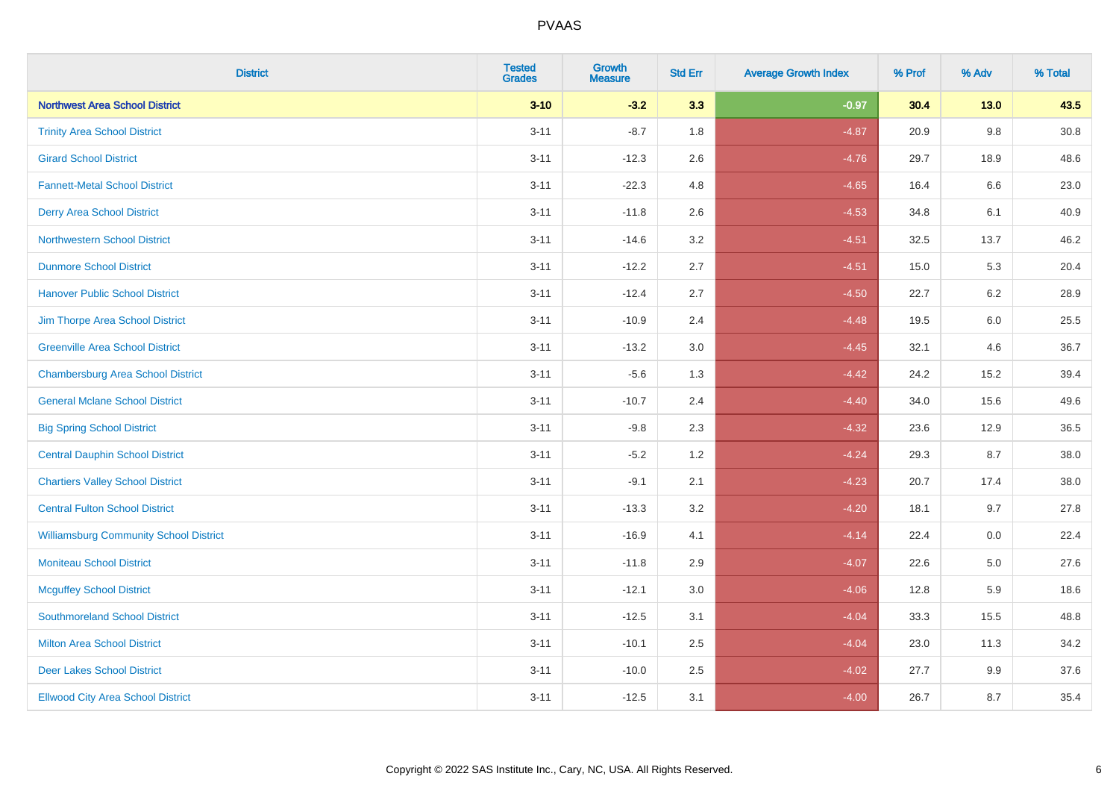| <b>District</b>                               | <b>Tested</b><br><b>Grades</b> | <b>Growth</b><br><b>Measure</b> | <b>Std Err</b> | <b>Average Growth Index</b> | % Prof | % Adv   | % Total |
|-----------------------------------------------|--------------------------------|---------------------------------|----------------|-----------------------------|--------|---------|---------|
| <b>Northwest Area School District</b>         | $3 - 10$                       | $-3.2$                          | 3.3            | $-0.97$                     | 30.4   | $13.0$  | 43.5    |
| <b>Trinity Area School District</b>           | $3 - 11$                       | $-8.7$                          | 1.8            | $-4.87$                     | 20.9   | $9.8\,$ | 30.8    |
| <b>Girard School District</b>                 | $3 - 11$                       | $-12.3$                         | 2.6            | $-4.76$                     | 29.7   | 18.9    | 48.6    |
| <b>Fannett-Metal School District</b>          | $3 - 11$                       | $-22.3$                         | 4.8            | $-4.65$                     | 16.4   | 6.6     | 23.0    |
| <b>Derry Area School District</b>             | $3 - 11$                       | $-11.8$                         | 2.6            | $-4.53$                     | 34.8   | 6.1     | 40.9    |
| <b>Northwestern School District</b>           | $3 - 11$                       | $-14.6$                         | 3.2            | $-4.51$                     | 32.5   | 13.7    | 46.2    |
| <b>Dunmore School District</b>                | $3 - 11$                       | $-12.2$                         | 2.7            | $-4.51$                     | 15.0   | 5.3     | 20.4    |
| <b>Hanover Public School District</b>         | $3 - 11$                       | $-12.4$                         | 2.7            | $-4.50$                     | 22.7   | 6.2     | 28.9    |
| Jim Thorpe Area School District               | $3 - 11$                       | $-10.9$                         | 2.4            | $-4.48$                     | 19.5   | 6.0     | 25.5    |
| <b>Greenville Area School District</b>        | $3 - 11$                       | $-13.2$                         | $3.0\,$        | $-4.45$                     | 32.1   | 4.6     | 36.7    |
| <b>Chambersburg Area School District</b>      | $3 - 11$                       | $-5.6$                          | 1.3            | $-4.42$                     | 24.2   | 15.2    | 39.4    |
| <b>General Mclane School District</b>         | $3 - 11$                       | $-10.7$                         | 2.4            | $-4.40$                     | 34.0   | 15.6    | 49.6    |
| <b>Big Spring School District</b>             | $3 - 11$                       | $-9.8$                          | 2.3            | $-4.32$                     | 23.6   | 12.9    | 36.5    |
| <b>Central Dauphin School District</b>        | $3 - 11$                       | $-5.2$                          | 1.2            | $-4.24$                     | 29.3   | 8.7     | 38.0    |
| <b>Chartiers Valley School District</b>       | $3 - 11$                       | $-9.1$                          | 2.1            | $-4.23$                     | 20.7   | 17.4    | 38.0    |
| <b>Central Fulton School District</b>         | $3 - 11$                       | $-13.3$                         | 3.2            | $-4.20$                     | 18.1   | 9.7     | 27.8    |
| <b>Williamsburg Community School District</b> | $3 - 11$                       | $-16.9$                         | 4.1            | $-4.14$                     | 22.4   | 0.0     | 22.4    |
| <b>Moniteau School District</b>               | $3 - 11$                       | $-11.8$                         | 2.9            | $-4.07$                     | 22.6   | 5.0     | 27.6    |
| <b>Mcguffey School District</b>               | $3 - 11$                       | $-12.1$                         | 3.0            | $-4.06$                     | 12.8   | 5.9     | 18.6    |
| <b>Southmoreland School District</b>          | $3 - 11$                       | $-12.5$                         | 3.1            | $-4.04$                     | 33.3   | 15.5    | 48.8    |
| <b>Milton Area School District</b>            | $3 - 11$                       | $-10.1$                         | 2.5            | $-4.04$                     | 23.0   | 11.3    | 34.2    |
| <b>Deer Lakes School District</b>             | $3 - 11$                       | $-10.0$                         | 2.5            | $-4.02$                     | 27.7   | 9.9     | 37.6    |
| <b>Ellwood City Area School District</b>      | $3 - 11$                       | $-12.5$                         | 3.1            | $-4.00$                     | 26.7   | 8.7     | 35.4    |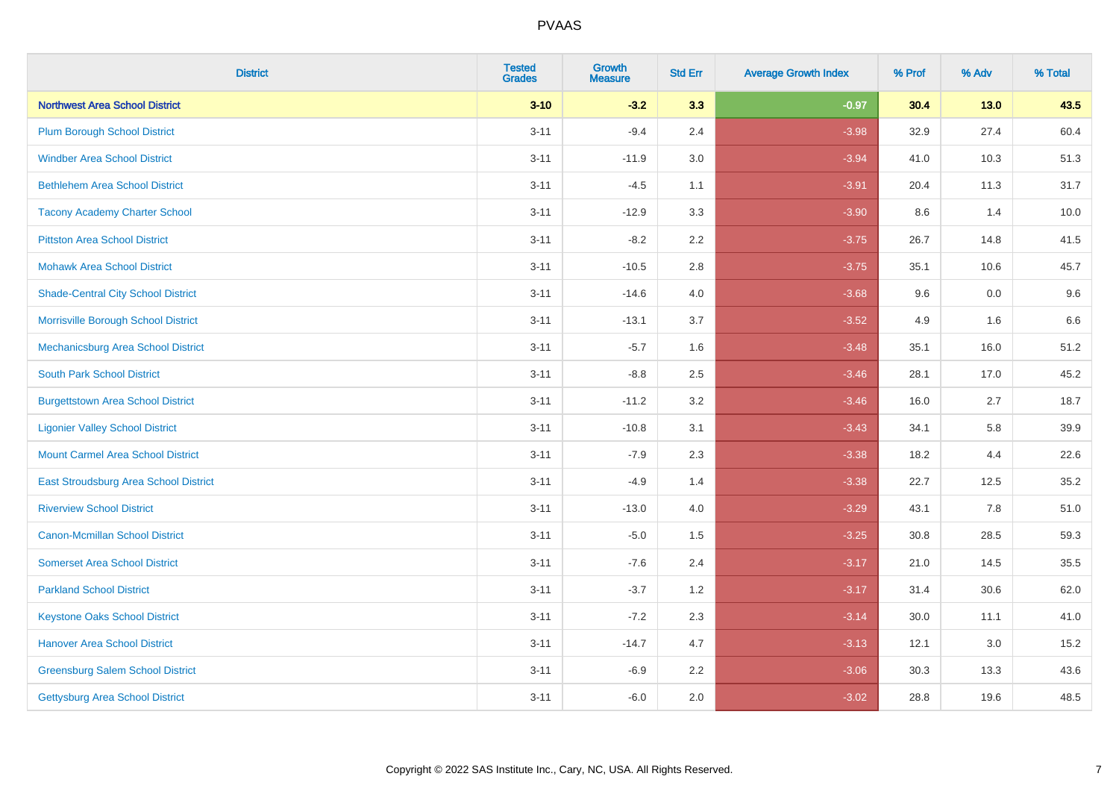| <b>District</b>                           | <b>Tested</b><br><b>Grades</b> | <b>Growth</b><br><b>Measure</b> | <b>Std Err</b> | <b>Average Growth Index</b> | % Prof | % Adv  | % Total |
|-------------------------------------------|--------------------------------|---------------------------------|----------------|-----------------------------|--------|--------|---------|
| <b>Northwest Area School District</b>     | $3 - 10$                       | $-3.2$                          | 3.3            | $-0.97$                     | 30.4   | $13.0$ | 43.5    |
| <b>Plum Borough School District</b>       | $3 - 11$                       | $-9.4$                          | 2.4            | $-3.98$                     | 32.9   | 27.4   | 60.4    |
| <b>Windber Area School District</b>       | $3 - 11$                       | $-11.9$                         | 3.0            | $-3.94$                     | 41.0   | 10.3   | 51.3    |
| <b>Bethlehem Area School District</b>     | $3 - 11$                       | $-4.5$                          | 1.1            | $-3.91$                     | 20.4   | 11.3   | 31.7    |
| <b>Tacony Academy Charter School</b>      | $3 - 11$                       | $-12.9$                         | 3.3            | $-3.90$                     | 8.6    | 1.4    | 10.0    |
| <b>Pittston Area School District</b>      | $3 - 11$                       | $-8.2$                          | 2.2            | $-3.75$                     | 26.7   | 14.8   | 41.5    |
| <b>Mohawk Area School District</b>        | $3 - 11$                       | $-10.5$                         | 2.8            | $-3.75$                     | 35.1   | 10.6   | 45.7    |
| <b>Shade-Central City School District</b> | $3 - 11$                       | $-14.6$                         | 4.0            | $-3.68$                     | 9.6    | 0.0    | 9.6     |
| Morrisville Borough School District       | $3 - 11$                       | $-13.1$                         | 3.7            | $-3.52$                     | 4.9    | 1.6    | 6.6     |
| Mechanicsburg Area School District        | $3 - 11$                       | $-5.7$                          | 1.6            | $-3.48$                     | 35.1   | 16.0   | 51.2    |
| <b>South Park School District</b>         | $3 - 11$                       | $-8.8$                          | 2.5            | $-3.46$                     | 28.1   | 17.0   | 45.2    |
| <b>Burgettstown Area School District</b>  | $3 - 11$                       | $-11.2$                         | 3.2            | $-3.46$                     | 16.0   | 2.7    | 18.7    |
| <b>Ligonier Valley School District</b>    | $3 - 11$                       | $-10.8$                         | 3.1            | $-3.43$                     | 34.1   | 5.8    | 39.9    |
| <b>Mount Carmel Area School District</b>  | $3 - 11$                       | $-7.9$                          | 2.3            | $-3.38$                     | 18.2   | 4.4    | 22.6    |
| East Stroudsburg Area School District     | $3 - 11$                       | $-4.9$                          | 1.4            | $-3.38$                     | 22.7   | 12.5   | 35.2    |
| <b>Riverview School District</b>          | $3 - 11$                       | $-13.0$                         | 4.0            | $-3.29$                     | 43.1   | 7.8    | 51.0    |
| <b>Canon-Mcmillan School District</b>     | $3 - 11$                       | $-5.0$                          | 1.5            | $-3.25$                     | 30.8   | 28.5   | 59.3    |
| <b>Somerset Area School District</b>      | $3 - 11$                       | $-7.6$                          | 2.4            | $-3.17$                     | 21.0   | 14.5   | 35.5    |
| <b>Parkland School District</b>           | $3 - 11$                       | $-3.7$                          | 1.2            | $-3.17$                     | 31.4   | 30.6   | 62.0    |
| <b>Keystone Oaks School District</b>      | $3 - 11$                       | $-7.2$                          | 2.3            | $-3.14$                     | 30.0   | 11.1   | 41.0    |
| <b>Hanover Area School District</b>       | $3 - 11$                       | $-14.7$                         | 4.7            | $-3.13$                     | 12.1   | 3.0    | 15.2    |
| <b>Greensburg Salem School District</b>   | $3 - 11$                       | $-6.9$                          | 2.2            | $-3.06$                     | 30.3   | 13.3   | 43.6    |
| Gettysburg Area School District           | $3 - 11$                       | $-6.0$                          | 2.0            | $-3.02$                     | 28.8   | 19.6   | 48.5    |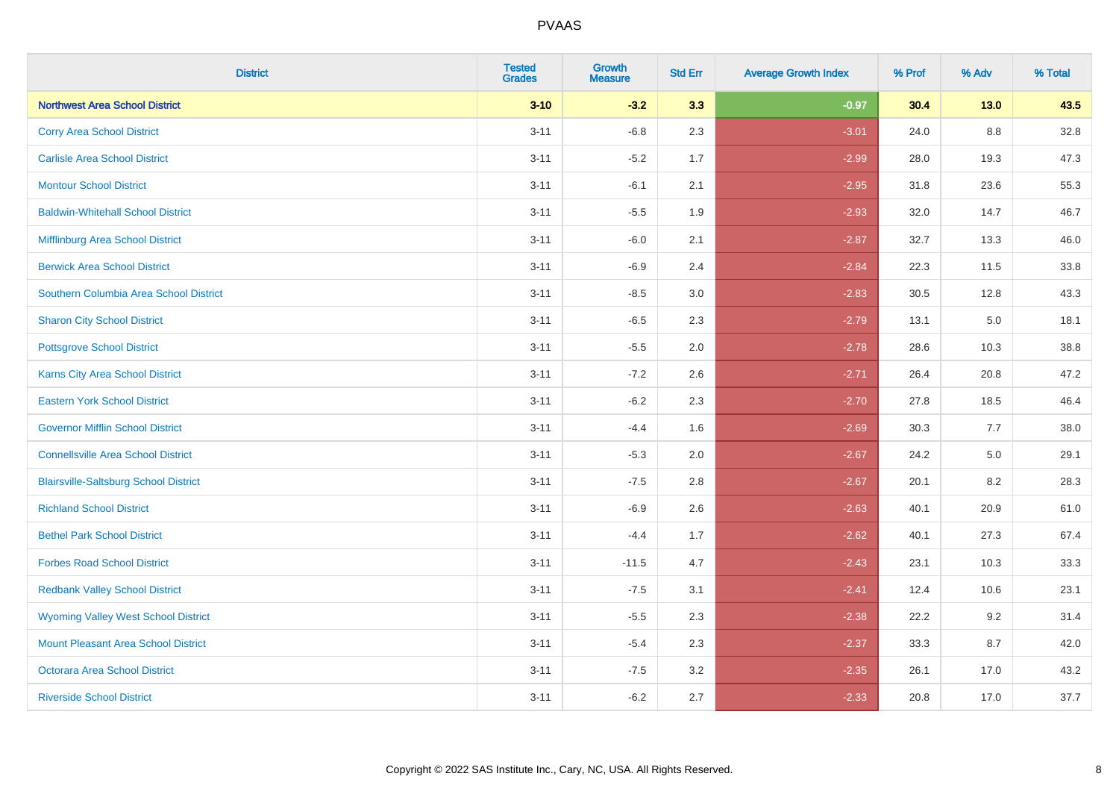| <b>District</b>                              | <b>Tested</b><br><b>Grades</b> | <b>Growth</b><br><b>Measure</b> | <b>Std Err</b> | <b>Average Growth Index</b> | % Prof | % Adv  | % Total |
|----------------------------------------------|--------------------------------|---------------------------------|----------------|-----------------------------|--------|--------|---------|
| <b>Northwest Area School District</b>        | $3 - 10$                       | $-3.2$                          | 3.3            | $-0.97$                     | 30.4   | $13.0$ | 43.5    |
| <b>Corry Area School District</b>            | $3 - 11$                       | $-6.8$                          | 2.3            | $-3.01$                     | 24.0   | 8.8    | 32.8    |
| <b>Carlisle Area School District</b>         | $3 - 11$                       | $-5.2$                          | 1.7            | $-2.99$                     | 28.0   | 19.3   | 47.3    |
| <b>Montour School District</b>               | $3 - 11$                       | $-6.1$                          | 2.1            | $-2.95$                     | 31.8   | 23.6   | 55.3    |
| <b>Baldwin-Whitehall School District</b>     | $3 - 11$                       | $-5.5$                          | 1.9            | $-2.93$                     | 32.0   | 14.7   | 46.7    |
| Mifflinburg Area School District             | $3 - 11$                       | $-6.0$                          | 2.1            | $-2.87$                     | 32.7   | 13.3   | 46.0    |
| <b>Berwick Area School District</b>          | $3 - 11$                       | $-6.9$                          | 2.4            | $-2.84$                     | 22.3   | 11.5   | 33.8    |
| Southern Columbia Area School District       | $3 - 11$                       | $-8.5$                          | 3.0            | $-2.83$                     | 30.5   | 12.8   | 43.3    |
| <b>Sharon City School District</b>           | $3 - 11$                       | $-6.5$                          | 2.3            | $-2.79$                     | 13.1   | 5.0    | 18.1    |
| <b>Pottsgrove School District</b>            | $3 - 11$                       | $-5.5$                          | 2.0            | $-2.78$                     | 28.6   | 10.3   | 38.8    |
| Karns City Area School District              | $3 - 11$                       | $-7.2$                          | 2.6            | $-2.71$                     | 26.4   | 20.8   | 47.2    |
| <b>Eastern York School District</b>          | $3 - 11$                       | $-6.2$                          | 2.3            | $-2.70$                     | 27.8   | 18.5   | 46.4    |
| <b>Governor Mifflin School District</b>      | $3 - 11$                       | $-4.4$                          | 1.6            | $-2.69$                     | 30.3   | 7.7    | 38.0    |
| <b>Connellsville Area School District</b>    | $3 - 11$                       | $-5.3$                          | 2.0            | $-2.67$                     | 24.2   | 5.0    | 29.1    |
| <b>Blairsville-Saltsburg School District</b> | $3 - 11$                       | $-7.5$                          | 2.8            | $-2.67$                     | 20.1   | 8.2    | 28.3    |
| <b>Richland School District</b>              | $3 - 11$                       | $-6.9$                          | 2.6            | $-2.63$                     | 40.1   | 20.9   | 61.0    |
| <b>Bethel Park School District</b>           | $3 - 11$                       | $-4.4$                          | 1.7            | $-2.62$                     | 40.1   | 27.3   | 67.4    |
| <b>Forbes Road School District</b>           | $3 - 11$                       | $-11.5$                         | 4.7            | $-2.43$                     | 23.1   | 10.3   | 33.3    |
| <b>Redbank Valley School District</b>        | $3 - 11$                       | $-7.5$                          | 3.1            | $-2.41$                     | 12.4   | 10.6   | 23.1    |
| <b>Wyoming Valley West School District</b>   | $3 - 11$                       | $-5.5$                          | 2.3            | $-2.38$                     | 22.2   | 9.2    | 31.4    |
| Mount Pleasant Area School District          | $3 - 11$                       | $-5.4$                          | 2.3            | $-2.37$                     | 33.3   | 8.7    | 42.0    |
| <b>Octorara Area School District</b>         | $3 - 11$                       | $-7.5$                          | 3.2            | $-2.35$                     | 26.1   | 17.0   | 43.2    |
| <b>Riverside School District</b>             | $3 - 11$                       | $-6.2$                          | 2.7            | $-2.33$                     | 20.8   | 17.0   | 37.7    |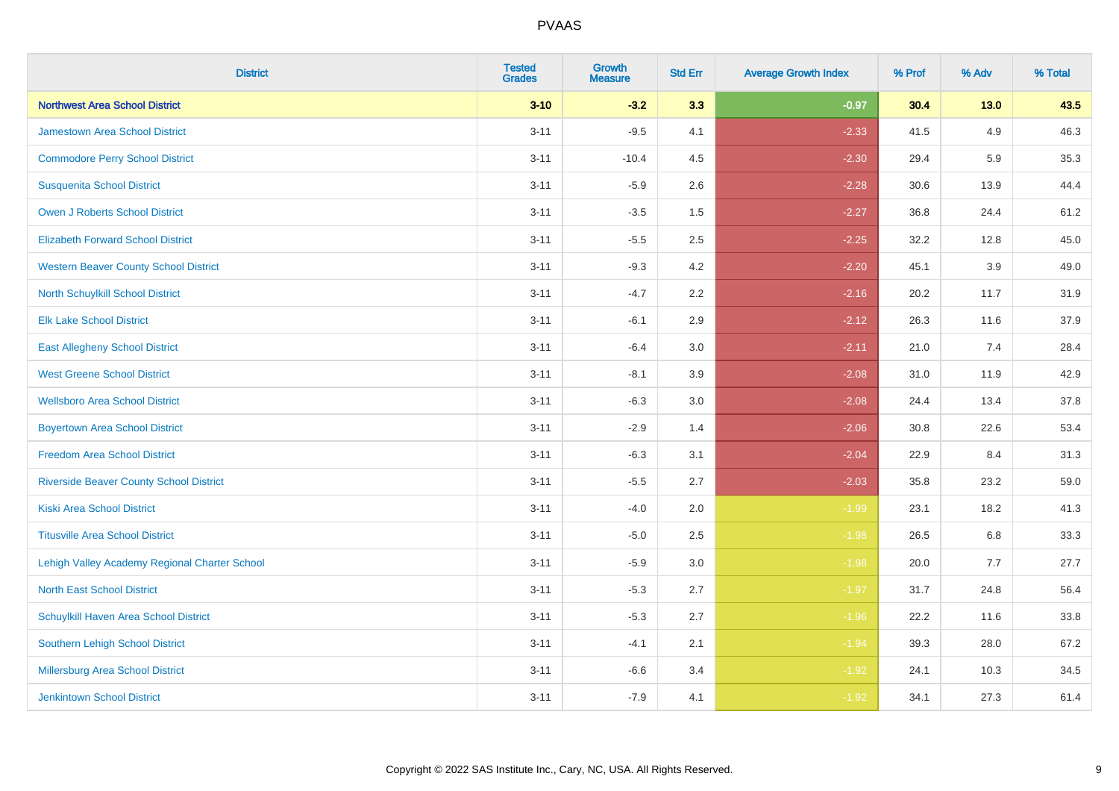| <b>District</b>                                | <b>Tested</b><br><b>Grades</b> | <b>Growth</b><br><b>Measure</b> | <b>Std Err</b> | <b>Average Growth Index</b> | % Prof | % Adv  | % Total |
|------------------------------------------------|--------------------------------|---------------------------------|----------------|-----------------------------|--------|--------|---------|
| <b>Northwest Area School District</b>          | $3 - 10$                       | $-3.2$                          | 3.3            | $-0.97$                     | 30.4   | $13.0$ | 43.5    |
| <b>Jamestown Area School District</b>          | $3 - 11$                       | $-9.5$                          | 4.1            | $-2.33$                     | 41.5   | 4.9    | 46.3    |
| <b>Commodore Perry School District</b>         | $3 - 11$                       | $-10.4$                         | 4.5            | $-2.30$                     | 29.4   | 5.9    | 35.3    |
| <b>Susquenita School District</b>              | $3 - 11$                       | $-5.9$                          | 2.6            | $-2.28$                     | 30.6   | 13.9   | 44.4    |
| Owen J Roberts School District                 | $3 - 11$                       | $-3.5$                          | 1.5            | $-2.27$                     | 36.8   | 24.4   | 61.2    |
| <b>Elizabeth Forward School District</b>       | $3 - 11$                       | $-5.5$                          | 2.5            | $-2.25$                     | 32.2   | 12.8   | 45.0    |
| <b>Western Beaver County School District</b>   | $3 - 11$                       | $-9.3$                          | 4.2            | $-2.20$                     | 45.1   | 3.9    | 49.0    |
| North Schuylkill School District               | $3 - 11$                       | $-4.7$                          | 2.2            | $-2.16$                     | 20.2   | 11.7   | 31.9    |
| <b>Elk Lake School District</b>                | $3 - 11$                       | $-6.1$                          | 2.9            | $-2.12$                     | 26.3   | 11.6   | 37.9    |
| <b>East Allegheny School District</b>          | $3 - 11$                       | $-6.4$                          | 3.0            | $-2.11$                     | 21.0   | 7.4    | 28.4    |
| <b>West Greene School District</b>             | $3 - 11$                       | $-8.1$                          | 3.9            | $-2.08$                     | 31.0   | 11.9   | 42.9    |
| <b>Wellsboro Area School District</b>          | $3 - 11$                       | $-6.3$                          | 3.0            | $-2.08$                     | 24.4   | 13.4   | 37.8    |
| <b>Boyertown Area School District</b>          | $3 - 11$                       | $-2.9$                          | 1.4            | $-2.06$                     | 30.8   | 22.6   | 53.4    |
| <b>Freedom Area School District</b>            | $3 - 11$                       | $-6.3$                          | 3.1            | $-2.04$                     | 22.9   | 8.4    | 31.3    |
| <b>Riverside Beaver County School District</b> | $3 - 11$                       | $-5.5$                          | 2.7            | $-2.03$                     | 35.8   | 23.2   | 59.0    |
| <b>Kiski Area School District</b>              | $3 - 11$                       | $-4.0$                          | 2.0            | $-1.99$                     | 23.1   | 18.2   | 41.3    |
| <b>Titusville Area School District</b>         | $3 - 11$                       | $-5.0$                          | 2.5            | $-1.98$                     | 26.5   | 6.8    | 33.3    |
| Lehigh Valley Academy Regional Charter School  | $3 - 11$                       | $-5.9$                          | 3.0            | $-1.98$                     | 20.0   | 7.7    | 27.7    |
| <b>North East School District</b>              | $3 - 11$                       | $-5.3$                          | 2.7            | $-1.97$                     | 31.7   | 24.8   | 56.4    |
| Schuylkill Haven Area School District          | $3 - 11$                       | $-5.3$                          | 2.7            | $-1.96$                     | 22.2   | 11.6   | 33.8    |
| Southern Lehigh School District                | $3 - 11$                       | $-4.1$                          | 2.1            | $-1.94$                     | 39.3   | 28.0   | 67.2    |
| Millersburg Area School District               | $3 - 11$                       | $-6.6$                          | 3.4            | $-1.92$                     | 24.1   | 10.3   | 34.5    |
| <b>Jenkintown School District</b>              | $3 - 11$                       | $-7.9$                          | 4.1            | $-1.92$                     | 34.1   | 27.3   | 61.4    |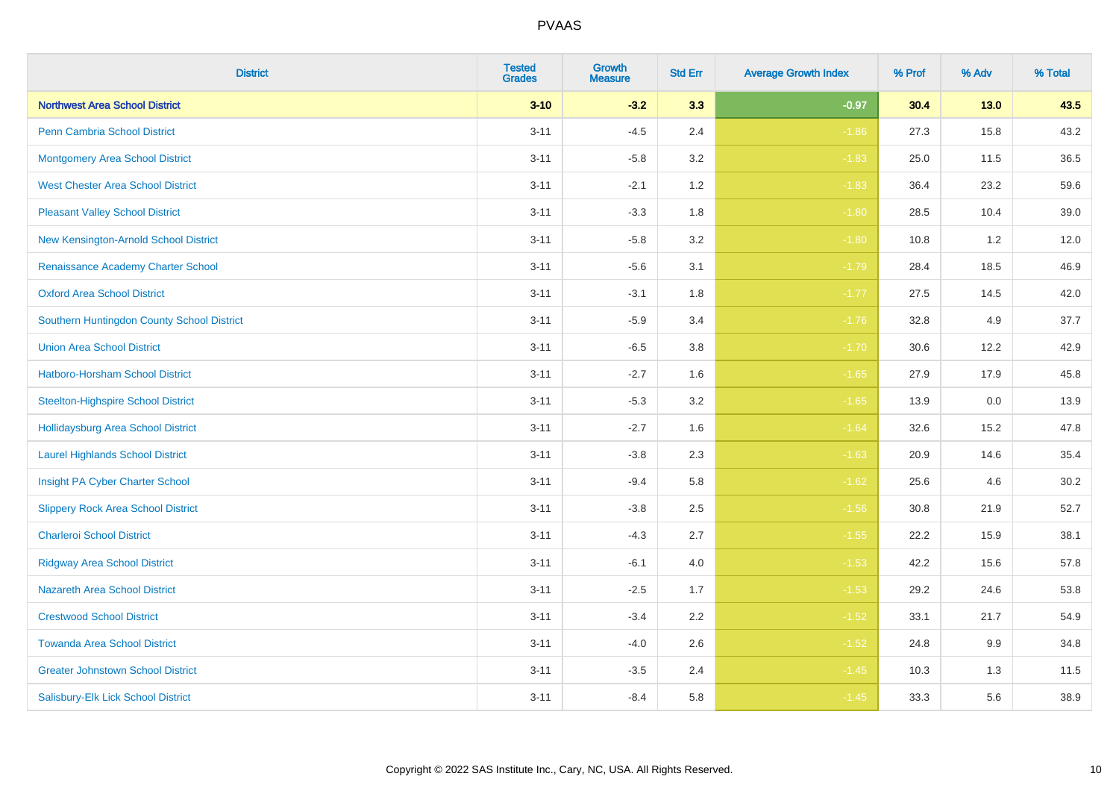| <b>District</b>                            | <b>Tested</b><br><b>Grades</b> | <b>Growth</b><br><b>Measure</b> | <b>Std Err</b> | <b>Average Growth Index</b> | % Prof | % Adv  | % Total |
|--------------------------------------------|--------------------------------|---------------------------------|----------------|-----------------------------|--------|--------|---------|
| <b>Northwest Area School District</b>      | $3 - 10$                       | $-3.2$                          | 3.3            | $-0.97$                     | 30.4   | $13.0$ | 43.5    |
| <b>Penn Cambria School District</b>        | $3 - 11$                       | $-4.5$                          | 2.4            | $-1.86$                     | 27.3   | 15.8   | 43.2    |
| <b>Montgomery Area School District</b>     | $3 - 11$                       | $-5.8$                          | 3.2            | $-1.83$                     | 25.0   | 11.5   | 36.5    |
| <b>West Chester Area School District</b>   | $3 - 11$                       | $-2.1$                          | 1.2            | $-1.83$                     | 36.4   | 23.2   | 59.6    |
| <b>Pleasant Valley School District</b>     | $3 - 11$                       | $-3.3$                          | 1.8            | $-1.80$                     | 28.5   | 10.4   | 39.0    |
| New Kensington-Arnold School District      | $3 - 11$                       | $-5.8$                          | 3.2            | $-1.80$                     | 10.8   | 1.2    | 12.0    |
| Renaissance Academy Charter School         | $3 - 11$                       | $-5.6$                          | 3.1            | $-1.79$                     | 28.4   | 18.5   | 46.9    |
| <b>Oxford Area School District</b>         | $3 - 11$                       | $-3.1$                          | 1.8            | $-1.77$                     | 27.5   | 14.5   | 42.0    |
| Southern Huntingdon County School District | $3 - 11$                       | $-5.9$                          | 3.4            | $-1.76$                     | 32.8   | 4.9    | 37.7    |
| <b>Union Area School District</b>          | $3 - 11$                       | $-6.5$                          | 3.8            | $-1.70$                     | 30.6   | 12.2   | 42.9    |
| Hatboro-Horsham School District            | $3 - 11$                       | $-2.7$                          | 1.6            | $-1.65$                     | 27.9   | 17.9   | 45.8    |
| <b>Steelton-Highspire School District</b>  | $3 - 11$                       | $-5.3$                          | 3.2            | $-1.65$                     | 13.9   | 0.0    | 13.9    |
| <b>Hollidaysburg Area School District</b>  | $3 - 11$                       | $-2.7$                          | 1.6            | $-1.64$                     | 32.6   | 15.2   | 47.8    |
| <b>Laurel Highlands School District</b>    | $3 - 11$                       | $-3.8$                          | 2.3            | $-1.63$                     | 20.9   | 14.6   | 35.4    |
| Insight PA Cyber Charter School            | $3 - 11$                       | $-9.4$                          | 5.8            | $-1.62$                     | 25.6   | 4.6    | 30.2    |
| <b>Slippery Rock Area School District</b>  | $3 - 11$                       | $-3.8$                          | 2.5            | $-1.56$                     | 30.8   | 21.9   | 52.7    |
| <b>Charleroi School District</b>           | $3 - 11$                       | $-4.3$                          | 2.7            | $-1.55$                     | 22.2   | 15.9   | 38.1    |
| <b>Ridgway Area School District</b>        | $3 - 11$                       | $-6.1$                          | 4.0            | $-1.53$                     | 42.2   | 15.6   | 57.8    |
| Nazareth Area School District              | $3 - 11$                       | $-2.5$                          | 1.7            | $-1.53$                     | 29.2   | 24.6   | 53.8    |
| <b>Crestwood School District</b>           | $3 - 11$                       | $-3.4$                          | 2.2            | $-1.52$                     | 33.1   | 21.7   | 54.9    |
| <b>Towanda Area School District</b>        | $3 - 11$                       | $-4.0$                          | 2.6            | $-1.52$                     | 24.8   | 9.9    | 34.8    |
| <b>Greater Johnstown School District</b>   | $3 - 11$                       | $-3.5$                          | 2.4            | $-1.45$                     | 10.3   | 1.3    | 11.5    |
| Salisbury-Elk Lick School District         | $3 - 11$                       | $-8.4$                          | 5.8            | $-1.45$                     | 33.3   | 5.6    | 38.9    |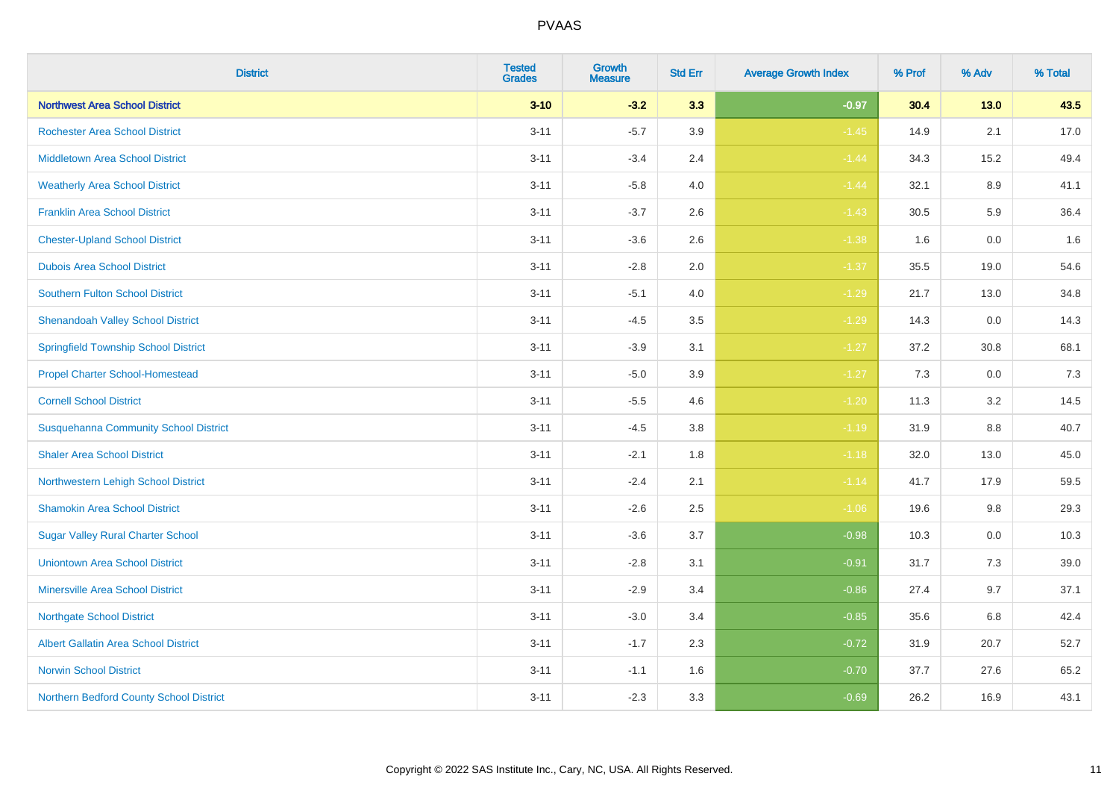| <b>District</b>                              | <b>Tested</b><br><b>Grades</b> | <b>Growth</b><br><b>Measure</b> | <b>Std Err</b> | <b>Average Growth Index</b> | % Prof | % Adv   | % Total |
|----------------------------------------------|--------------------------------|---------------------------------|----------------|-----------------------------|--------|---------|---------|
| <b>Northwest Area School District</b>        | $3 - 10$                       | $-3.2$                          | 3.3            | $-0.97$                     | 30.4   | $13.0$  | 43.5    |
| <b>Rochester Area School District</b>        | $3 - 11$                       | $-5.7$                          | 3.9            | $-1.45$                     | 14.9   | 2.1     | 17.0    |
| <b>Middletown Area School District</b>       | $3 - 11$                       | $-3.4$                          | 2.4            | $-1.44$                     | 34.3   | 15.2    | 49.4    |
| <b>Weatherly Area School District</b>        | $3 - 11$                       | $-5.8$                          | 4.0            | $-1.44$                     | 32.1   | 8.9     | 41.1    |
| <b>Franklin Area School District</b>         | $3 - 11$                       | $-3.7$                          | 2.6            | $-1.43$                     | 30.5   | 5.9     | 36.4    |
| <b>Chester-Upland School District</b>        | $3 - 11$                       | $-3.6$                          | 2.6            | $-1.38$                     | 1.6    | 0.0     | 1.6     |
| <b>Dubois Area School District</b>           | $3 - 11$                       | $-2.8$                          | 2.0            | $-1.37$                     | 35.5   | 19.0    | 54.6    |
| <b>Southern Fulton School District</b>       | $3 - 11$                       | $-5.1$                          | 4.0            | $-1.29$                     | 21.7   | 13.0    | 34.8    |
| <b>Shenandoah Valley School District</b>     | $3 - 11$                       | $-4.5$                          | 3.5            | $-1.29$                     | 14.3   | 0.0     | 14.3    |
| <b>Springfield Township School District</b>  | $3 - 11$                       | $-3.9$                          | 3.1            | $-1.27$                     | 37.2   | 30.8    | 68.1    |
| <b>Propel Charter School-Homestead</b>       | $3 - 11$                       | $-5.0$                          | 3.9            | $-1.27$                     | 7.3    | 0.0     | 7.3     |
| <b>Cornell School District</b>               | $3 - 11$                       | $-5.5$                          | 4.6            | $-1.20$                     | 11.3   | 3.2     | 14.5    |
| <b>Susquehanna Community School District</b> | $3 - 11$                       | $-4.5$                          | $3.8\,$        | $-1.19$                     | 31.9   | $8.8\,$ | 40.7    |
| <b>Shaler Area School District</b>           | $3 - 11$                       | $-2.1$                          | 1.8            | $-1.18$                     | 32.0   | 13.0    | 45.0    |
| Northwestern Lehigh School District          | $3 - 11$                       | $-2.4$                          | 2.1            | $-1.14$                     | 41.7   | 17.9    | 59.5    |
| <b>Shamokin Area School District</b>         | $3 - 11$                       | $-2.6$                          | 2.5            | $-1.06$                     | 19.6   | $9.8\,$ | 29.3    |
| <b>Sugar Valley Rural Charter School</b>     | $3 - 11$                       | $-3.6$                          | 3.7            | $-0.98$                     | 10.3   | 0.0     | 10.3    |
| <b>Uniontown Area School District</b>        | $3 - 11$                       | $-2.8$                          | 3.1            | $-0.91$                     | 31.7   | 7.3     | 39.0    |
| <b>Minersville Area School District</b>      | $3 - 11$                       | $-2.9$                          | 3.4            | $-0.86$                     | 27.4   | 9.7     | 37.1    |
| <b>Northgate School District</b>             | $3 - 11$                       | $-3.0$                          | 3.4            | $-0.85$                     | 35.6   | 6.8     | 42.4    |
| Albert Gallatin Area School District         | $3 - 11$                       | $-1.7$                          | 2.3            | $-0.72$                     | 31.9   | 20.7    | 52.7    |
| <b>Norwin School District</b>                | $3 - 11$                       | $-1.1$                          | 1.6            | $-0.70$                     | 37.7   | 27.6    | 65.2    |
| Northern Bedford County School District      | $3 - 11$                       | $-2.3$                          | 3.3            | $-0.69$                     | 26.2   | 16.9    | 43.1    |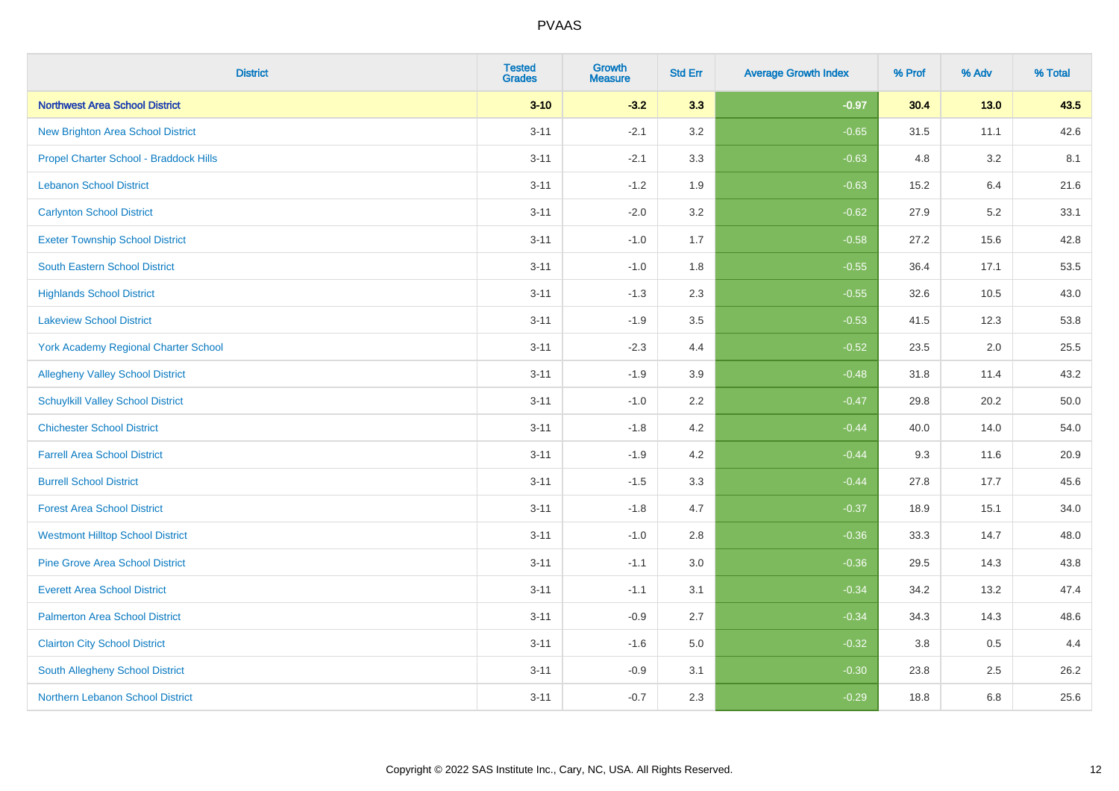| <b>District</b>                          | <b>Tested</b><br><b>Grades</b> | <b>Growth</b><br><b>Measure</b> | <b>Std Err</b> | <b>Average Growth Index</b> | % Prof | % Adv   | % Total |
|------------------------------------------|--------------------------------|---------------------------------|----------------|-----------------------------|--------|---------|---------|
| <b>Northwest Area School District</b>    | $3 - 10$                       | $-3.2$                          | 3.3            | $-0.97$                     | 30.4   | 13.0    | 43.5    |
| <b>New Brighton Area School District</b> | $3 - 11$                       | $-2.1$                          | 3.2            | $-0.65$                     | 31.5   | 11.1    | 42.6    |
| Propel Charter School - Braddock Hills   | $3 - 11$                       | $-2.1$                          | 3.3            | $-0.63$                     | 4.8    | 3.2     | 8.1     |
| <b>Lebanon School District</b>           | $3 - 11$                       | $-1.2$                          | 1.9            | $-0.63$                     | 15.2   | 6.4     | 21.6    |
| <b>Carlynton School District</b>         | $3 - 11$                       | $-2.0$                          | 3.2            | $-0.62$                     | 27.9   | 5.2     | 33.1    |
| <b>Exeter Township School District</b>   | $3 - 11$                       | $-1.0$                          | 1.7            | $-0.58$                     | 27.2   | 15.6    | 42.8    |
| <b>South Eastern School District</b>     | $3 - 11$                       | $-1.0$                          | 1.8            | $-0.55$                     | 36.4   | 17.1    | 53.5    |
| <b>Highlands School District</b>         | $3 - 11$                       | $-1.3$                          | 2.3            | $-0.55$                     | 32.6   | 10.5    | 43.0    |
| <b>Lakeview School District</b>          | $3 - 11$                       | $-1.9$                          | 3.5            | $-0.53$                     | 41.5   | 12.3    | 53.8    |
| York Academy Regional Charter School     | $3 - 11$                       | $-2.3$                          | 4.4            | $-0.52$                     | 23.5   | $2.0\,$ | 25.5    |
| <b>Allegheny Valley School District</b>  | $3 - 11$                       | $-1.9$                          | 3.9            | $-0.48$                     | 31.8   | 11.4    | 43.2    |
| <b>Schuylkill Valley School District</b> | $3 - 11$                       | $-1.0$                          | 2.2            | $-0.47$                     | 29.8   | 20.2    | 50.0    |
| <b>Chichester School District</b>        | $3 - 11$                       | $-1.8$                          | 4.2            | $-0.44$                     | 40.0   | 14.0    | 54.0    |
| <b>Farrell Area School District</b>      | $3 - 11$                       | $-1.9$                          | 4.2            | $-0.44$                     | 9.3    | 11.6    | 20.9    |
| <b>Burrell School District</b>           | $3 - 11$                       | $-1.5$                          | 3.3            | $-0.44$                     | 27.8   | 17.7    | 45.6    |
| <b>Forest Area School District</b>       | $3 - 11$                       | $-1.8$                          | 4.7            | $-0.37$                     | 18.9   | 15.1    | 34.0    |
| <b>Westmont Hilltop School District</b>  | $3 - 11$                       | $-1.0$                          | 2.8            | $-0.36$                     | 33.3   | 14.7    | 48.0    |
| <b>Pine Grove Area School District</b>   | $3 - 11$                       | $-1.1$                          | 3.0            | $-0.36$                     | 29.5   | 14.3    | 43.8    |
| <b>Everett Area School District</b>      | $3 - 11$                       | $-1.1$                          | 3.1            | $-0.34$                     | 34.2   | 13.2    | 47.4    |
| <b>Palmerton Area School District</b>    | $3 - 11$                       | $-0.9$                          | 2.7            | $-0.34$                     | 34.3   | 14.3    | 48.6    |
| <b>Clairton City School District</b>     | $3 - 11$                       | $-1.6$                          | 5.0            | $-0.32$                     | 3.8    | 0.5     | 4.4     |
| South Allegheny School District          | $3 - 11$                       | $-0.9$                          | 3.1            | $-0.30$                     | 23.8   | 2.5     | 26.2    |
| Northern Lebanon School District         | $3 - 11$                       | $-0.7$                          | 2.3            | $-0.29$                     | 18.8   | 6.8     | 25.6    |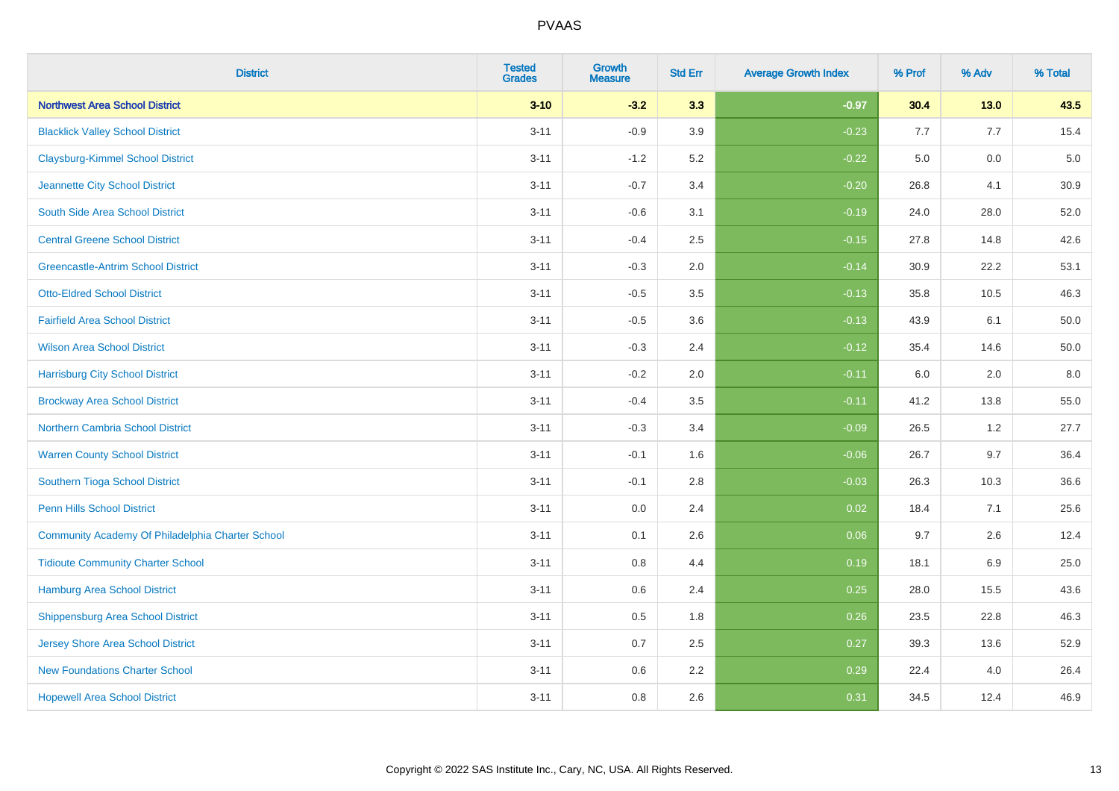| <b>District</b>                                  | <b>Tested</b><br><b>Grades</b> | <b>Growth</b><br><b>Measure</b> | <b>Std Err</b> | <b>Average Growth Index</b> | % Prof | % Adv  | % Total |
|--------------------------------------------------|--------------------------------|---------------------------------|----------------|-----------------------------|--------|--------|---------|
| <b>Northwest Area School District</b>            | $3 - 10$                       | $-3.2$                          | 3.3            | $-0.97$                     | 30.4   | $13.0$ | 43.5    |
| <b>Blacklick Valley School District</b>          | $3 - 11$                       | $-0.9$                          | 3.9            | $-0.23$                     | 7.7    | 7.7    | 15.4    |
| <b>Claysburg-Kimmel School District</b>          | $3 - 11$                       | $-1.2$                          | 5.2            | $-0.22$                     | 5.0    | 0.0    | $5.0$   |
| Jeannette City School District                   | $3 - 11$                       | $-0.7$                          | 3.4            | $-0.20$                     | 26.8   | 4.1    | 30.9    |
| South Side Area School District                  | $3 - 11$                       | $-0.6$                          | 3.1            | $-0.19$                     | 24.0   | 28.0   | 52.0    |
| <b>Central Greene School District</b>            | $3 - 11$                       | $-0.4$                          | 2.5            | $-0.15$                     | 27.8   | 14.8   | 42.6    |
| <b>Greencastle-Antrim School District</b>        | $3 - 11$                       | $-0.3$                          | 2.0            | $-0.14$                     | 30.9   | 22.2   | 53.1    |
| <b>Otto-Eldred School District</b>               | $3 - 11$                       | $-0.5$                          | 3.5            | $-0.13$                     | 35.8   | 10.5   | 46.3    |
| <b>Fairfield Area School District</b>            | $3 - 11$                       | $-0.5$                          | 3.6            | $-0.13$                     | 43.9   | 6.1    | 50.0    |
| <b>Wilson Area School District</b>               | $3 - 11$                       | $-0.3$                          | 2.4            | $-0.12$                     | 35.4   | 14.6   | 50.0    |
| <b>Harrisburg City School District</b>           | $3 - 11$                       | $-0.2$                          | 2.0            | $-0.11$                     | 6.0    | 2.0    | 8.0     |
| <b>Brockway Area School District</b>             | $3 - 11$                       | $-0.4$                          | 3.5            | $-0.11$                     | 41.2   | 13.8   | 55.0    |
| Northern Cambria School District                 | $3 - 11$                       | $-0.3$                          | 3.4            | $-0.09$                     | 26.5   | 1.2    | 27.7    |
| <b>Warren County School District</b>             | $3 - 11$                       | $-0.1$                          | 1.6            | $-0.06$                     | 26.7   | 9.7    | 36.4    |
| Southern Tioga School District                   | $3 - 11$                       | $-0.1$                          | 2.8            | $-0.03$                     | 26.3   | 10.3   | 36.6    |
| Penn Hills School District                       | $3 - 11$                       | 0.0                             | 2.4            | 0.02                        | 18.4   | 7.1    | 25.6    |
| Community Academy Of Philadelphia Charter School | $3 - 11$                       | 0.1                             | 2.6            | 0.06                        | 9.7    | 2.6    | 12.4    |
| <b>Tidioute Community Charter School</b>         | $3 - 11$                       | 0.8                             | 4.4            | 0.19                        | 18.1   | 6.9    | 25.0    |
| Hamburg Area School District                     | $3 - 11$                       | 0.6                             | 2.4            | 0.25                        | 28.0   | 15.5   | 43.6    |
| <b>Shippensburg Area School District</b>         | $3 - 11$                       | 0.5                             | 1.8            | 0.26                        | 23.5   | 22.8   | 46.3    |
| <b>Jersey Shore Area School District</b>         | $3 - 11$                       | 0.7                             | 2.5            | 0.27                        | 39.3   | 13.6   | 52.9    |
| <b>New Foundations Charter School</b>            | $3 - 11$                       | 0.6                             | 2.2            | 0.29                        | 22.4   | 4.0    | 26.4    |
| <b>Hopewell Area School District</b>             | $3 - 11$                       | 0.8                             | 2.6            | 0.31                        | 34.5   | 12.4   | 46.9    |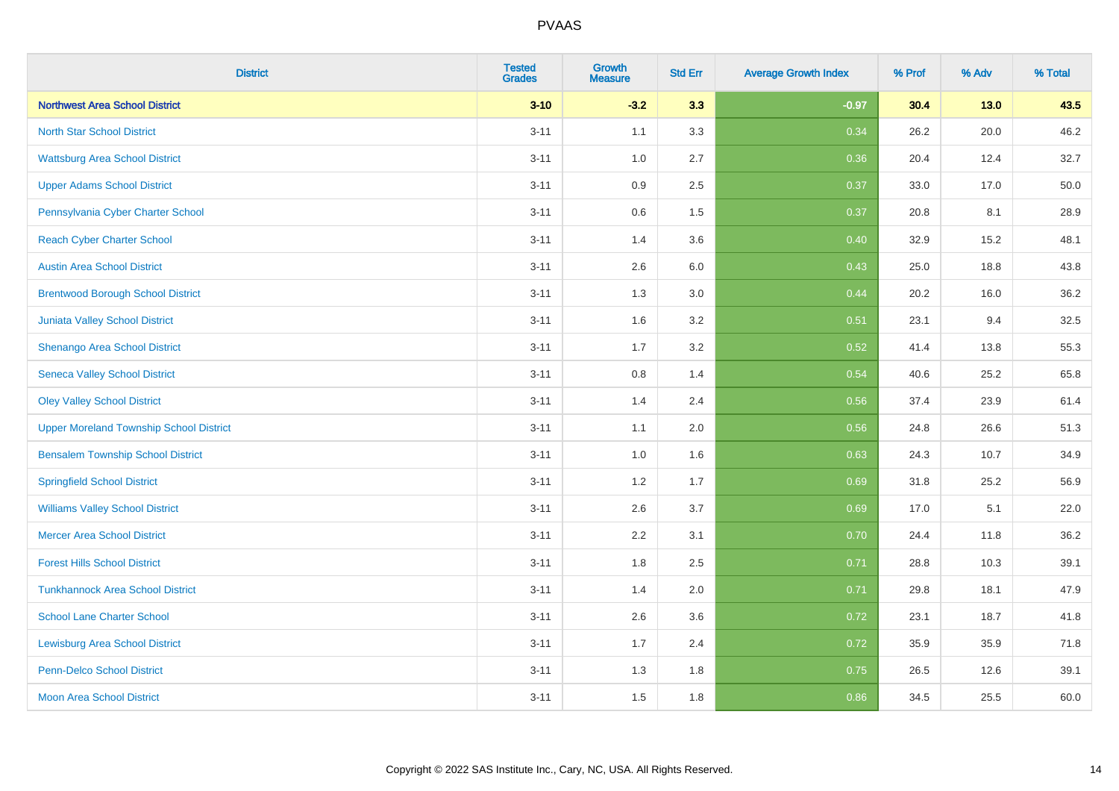| <b>District</b>                                | <b>Tested</b><br><b>Grades</b> | <b>Growth</b><br><b>Measure</b> | <b>Std Err</b> | <b>Average Growth Index</b> | % Prof | % Adv  | % Total |
|------------------------------------------------|--------------------------------|---------------------------------|----------------|-----------------------------|--------|--------|---------|
| <b>Northwest Area School District</b>          | $3 - 10$                       | $-3.2$                          | 3.3            | $-0.97$                     | 30.4   | $13.0$ | 43.5    |
| <b>North Star School District</b>              | $3 - 11$                       | 1.1                             | 3.3            | 0.34                        | 26.2   | 20.0   | 46.2    |
| <b>Wattsburg Area School District</b>          | $3 - 11$                       | 1.0                             | 2.7            | 0.36                        | 20.4   | 12.4   | 32.7    |
| <b>Upper Adams School District</b>             | $3 - 11$                       | 0.9                             | 2.5            | 0.37                        | 33.0   | 17.0   | 50.0    |
| Pennsylvania Cyber Charter School              | $3 - 11$                       | 0.6                             | 1.5            | 0.37                        | 20.8   | 8.1    | 28.9    |
| <b>Reach Cyber Charter School</b>              | $3 - 11$                       | 1.4                             | 3.6            | 0.40                        | 32.9   | 15.2   | 48.1    |
| <b>Austin Area School District</b>             | $3 - 11$                       | 2.6                             | 6.0            | 0.43                        | 25.0   | 18.8   | 43.8    |
| <b>Brentwood Borough School District</b>       | $3 - 11$                       | 1.3                             | 3.0            | 0.44                        | 20.2   | 16.0   | 36.2    |
| <b>Juniata Valley School District</b>          | $3 - 11$                       | 1.6                             | 3.2            | 0.51                        | 23.1   | 9.4    | 32.5    |
| Shenango Area School District                  | $3 - 11$                       | 1.7                             | 3.2            | 0.52                        | 41.4   | 13.8   | 55.3    |
| <b>Seneca Valley School District</b>           | $3 - 11$                       | 0.8                             | 1.4            | 0.54                        | 40.6   | 25.2   | 65.8    |
| <b>Oley Valley School District</b>             | $3 - 11$                       | 1.4                             | 2.4            | 0.56                        | 37.4   | 23.9   | 61.4    |
| <b>Upper Moreland Township School District</b> | $3 - 11$                       | 1.1                             | 2.0            | 0.56                        | 24.8   | 26.6   | 51.3    |
| <b>Bensalem Township School District</b>       | $3 - 11$                       | 1.0                             | 1.6            | 0.63                        | 24.3   | 10.7   | 34.9    |
| <b>Springfield School District</b>             | $3 - 11$                       | 1.2                             | 1.7            | 0.69                        | 31.8   | 25.2   | 56.9    |
| <b>Williams Valley School District</b>         | $3 - 11$                       | 2.6                             | 3.7            | 0.69                        | 17.0   | 5.1    | 22.0    |
| <b>Mercer Area School District</b>             | $3 - 11$                       | $2.2\,$                         | 3.1            | 0.70                        | 24.4   | 11.8   | 36.2    |
| <b>Forest Hills School District</b>            | $3 - 11$                       | 1.8                             | 2.5            | 0.71                        | 28.8   | 10.3   | 39.1    |
| <b>Tunkhannock Area School District</b>        | $3 - 11$                       | 1.4                             | 2.0            | 0.71                        | 29.8   | 18.1   | 47.9    |
| <b>School Lane Charter School</b>              | $3 - 11$                       | 2.6                             | 3.6            | 0.72                        | 23.1   | 18.7   | 41.8    |
| <b>Lewisburg Area School District</b>          | $3 - 11$                       | 1.7                             | 2.4            | 0.72                        | 35.9   | 35.9   | 71.8    |
| <b>Penn-Delco School District</b>              | $3 - 11$                       | 1.3                             | 1.8            | 0.75                        | 26.5   | 12.6   | 39.1    |
| <b>Moon Area School District</b>               | $3 - 11$                       | 1.5                             | 1.8            | 0.86                        | 34.5   | 25.5   | 60.0    |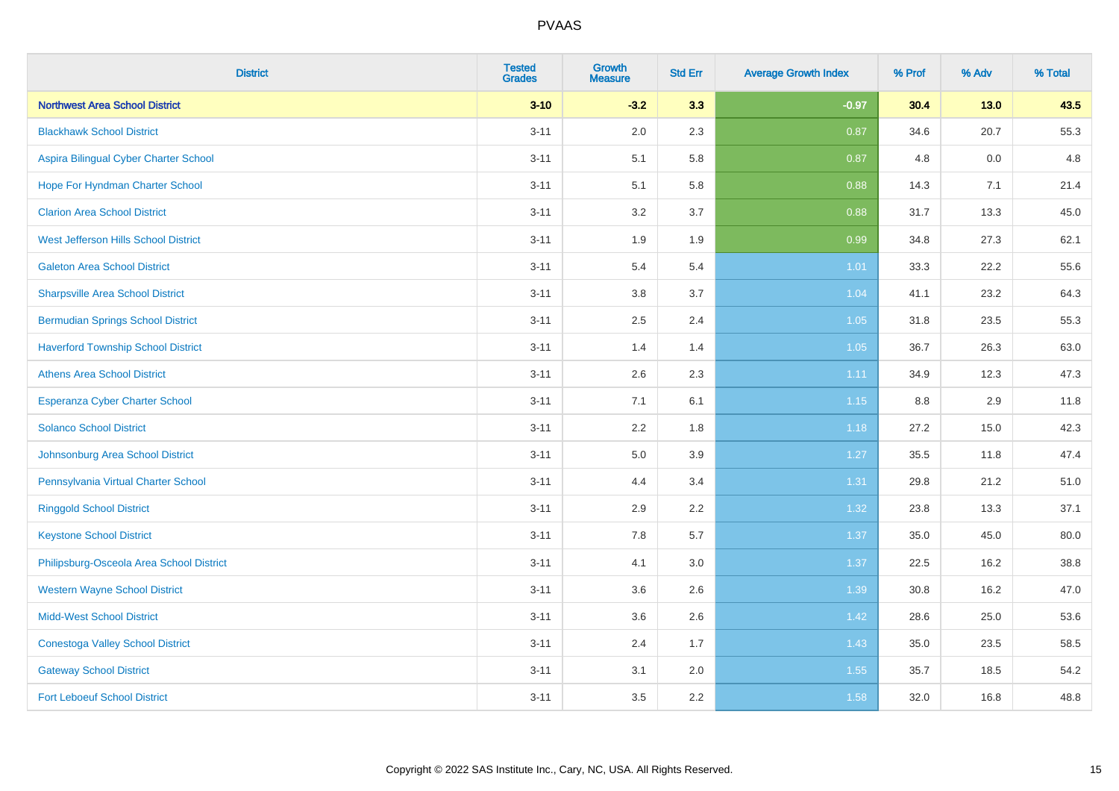| <b>District</b>                           | <b>Tested</b><br><b>Grades</b> | <b>Growth</b><br><b>Measure</b> | <b>Std Err</b> | <b>Average Growth Index</b> | % Prof | % Adv  | % Total |
|-------------------------------------------|--------------------------------|---------------------------------|----------------|-----------------------------|--------|--------|---------|
| <b>Northwest Area School District</b>     | $3 - 10$                       | $-3.2$                          | 3.3            | $-0.97$                     | 30.4   | $13.0$ | 43.5    |
| <b>Blackhawk School District</b>          | $3 - 11$                       | 2.0                             | 2.3            | 0.87                        | 34.6   | 20.7   | 55.3    |
| Aspira Bilingual Cyber Charter School     | $3 - 11$                       | 5.1                             | 5.8            | 0.87                        | 4.8    | 0.0    | 4.8     |
| Hope For Hyndman Charter School           | $3 - 11$                       | 5.1                             | 5.8            | 0.88                        | 14.3   | 7.1    | 21.4    |
| <b>Clarion Area School District</b>       | $3 - 11$                       | 3.2                             | 3.7            | 0.88                        | 31.7   | 13.3   | 45.0    |
| West Jefferson Hills School District      | $3 - 11$                       | 1.9                             | 1.9            | 0.99                        | 34.8   | 27.3   | 62.1    |
| <b>Galeton Area School District</b>       | $3 - 11$                       | 5.4                             | 5.4            | $1.01$                      | 33.3   | 22.2   | 55.6    |
| <b>Sharpsville Area School District</b>   | $3 - 11$                       | 3.8                             | 3.7            | 1.04                        | 41.1   | 23.2   | 64.3    |
| <b>Bermudian Springs School District</b>  | $3 - 11$                       | 2.5                             | 2.4            | 1.05                        | 31.8   | 23.5   | 55.3    |
| <b>Haverford Township School District</b> | $3 - 11$                       | 1.4                             | 1.4            | 1.05                        | 36.7   | 26.3   | 63.0    |
| <b>Athens Area School District</b>        | $3 - 11$                       | 2.6                             | 2.3            | 1.11                        | 34.9   | 12.3   | 47.3    |
| Esperanza Cyber Charter School            | $3 - 11$                       | 7.1                             | 6.1            | 1.15                        | 8.8    | 2.9    | 11.8    |
| <b>Solanco School District</b>            | $3 - 11$                       | 2.2                             | 1.8            | 1.18                        | 27.2   | 15.0   | 42.3    |
| Johnsonburg Area School District          | $3 - 11$                       | 5.0                             | 3.9            | 1.27                        | 35.5   | 11.8   | 47.4    |
| Pennsylvania Virtual Charter School       | $3 - 11$                       | 4.4                             | 3.4            | 1.31                        | 29.8   | 21.2   | 51.0    |
| <b>Ringgold School District</b>           | $3 - 11$                       | 2.9                             | 2.2            | 1.32                        | 23.8   | 13.3   | 37.1    |
| <b>Keystone School District</b>           | $3 - 11$                       | 7.8                             | 5.7            | 1.37                        | 35.0   | 45.0   | 80.0    |
| Philipsburg-Osceola Area School District  | $3 - 11$                       | 4.1                             | 3.0            | 1.37                        | 22.5   | 16.2   | 38.8    |
| <b>Western Wayne School District</b>      | $3 - 11$                       | 3.6                             | 2.6            | 1.39                        | 30.8   | 16.2   | 47.0    |
| <b>Midd-West School District</b>          | $3 - 11$                       | 3.6                             | 2.6            | 1.42                        | 28.6   | 25.0   | 53.6    |
| <b>Conestoga Valley School District</b>   | $3 - 11$                       | 2.4                             | 1.7            | 1.43                        | 35.0   | 23.5   | 58.5    |
| <b>Gateway School District</b>            | $3 - 11$                       | 3.1                             | 2.0            | 1.55                        | 35.7   | 18.5   | 54.2    |
| <b>Fort Leboeuf School District</b>       | $3 - 11$                       | 3.5                             | 2.2            | 1.58                        | 32.0   | 16.8   | 48.8    |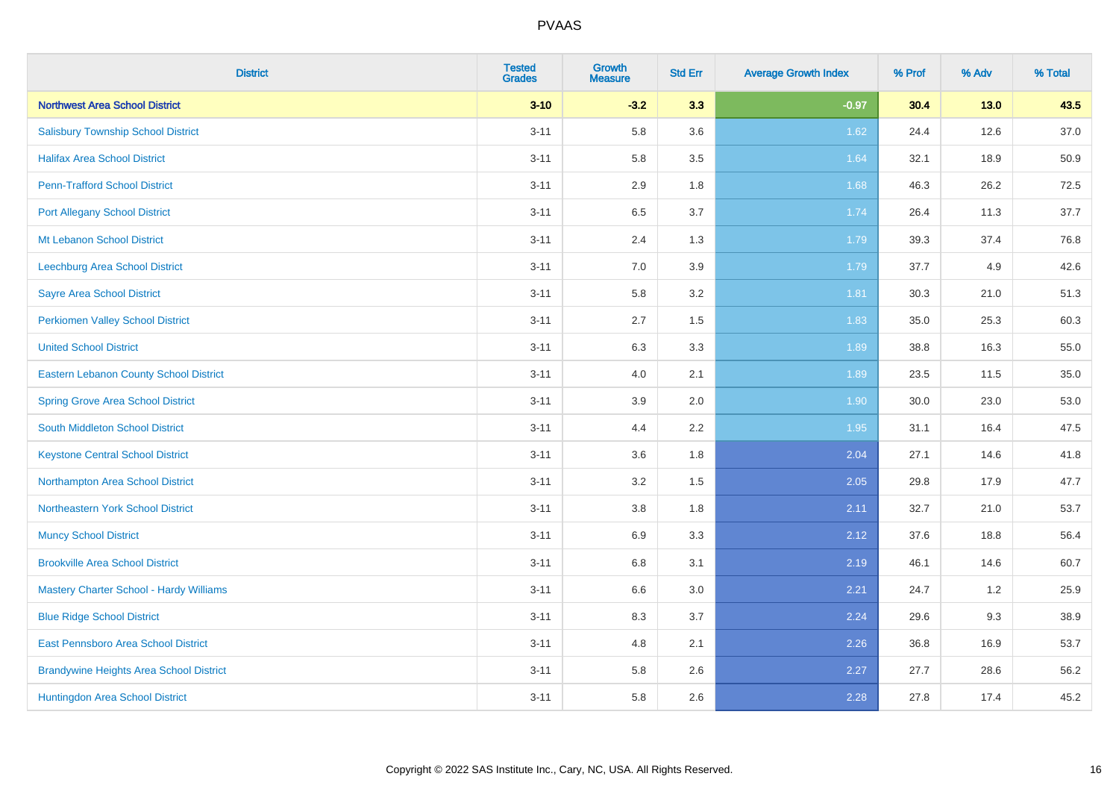| <b>District</b>                                | <b>Tested</b><br><b>Grades</b> | <b>Growth</b><br><b>Measure</b> | <b>Std Err</b> | <b>Average Growth Index</b> | % Prof | % Adv  | % Total |
|------------------------------------------------|--------------------------------|---------------------------------|----------------|-----------------------------|--------|--------|---------|
| <b>Northwest Area School District</b>          | $3 - 10$                       | $-3.2$                          | 3.3            | $-0.97$                     | 30.4   | $13.0$ | 43.5    |
| <b>Salisbury Township School District</b>      | $3 - 11$                       | 5.8                             | 3.6            | 1.62                        | 24.4   | 12.6   | 37.0    |
| <b>Halifax Area School District</b>            | $3 - 11$                       | 5.8                             | 3.5            | 1.64                        | 32.1   | 18.9   | 50.9    |
| <b>Penn-Trafford School District</b>           | $3 - 11$                       | 2.9                             | 1.8            | 1.68                        | 46.3   | 26.2   | 72.5    |
| <b>Port Allegany School District</b>           | $3 - 11$                       | 6.5                             | 3.7            | 1.74                        | 26.4   | 11.3   | 37.7    |
| Mt Lebanon School District                     | $3 - 11$                       | 2.4                             | 1.3            | 1.79                        | 39.3   | 37.4   | 76.8    |
| Leechburg Area School District                 | $3 - 11$                       | 7.0                             | 3.9            | 1.79                        | 37.7   | 4.9    | 42.6    |
| <b>Sayre Area School District</b>              | $3 - 11$                       | 5.8                             | 3.2            | 1.81                        | 30.3   | 21.0   | 51.3    |
| <b>Perkiomen Valley School District</b>        | $3 - 11$                       | 2.7                             | 1.5            | 1.83                        | 35.0   | 25.3   | 60.3    |
| <b>United School District</b>                  | $3 - 11$                       | 6.3                             | 3.3            | 1.89                        | 38.8   | 16.3   | 55.0    |
| Eastern Lebanon County School District         | $3 - 11$                       | 4.0                             | 2.1            | 1.89                        | 23.5   | 11.5   | 35.0    |
| <b>Spring Grove Area School District</b>       | $3 - 11$                       | 3.9                             | 2.0            | 1.90                        | 30.0   | 23.0   | 53.0    |
| South Middleton School District                | $3 - 11$                       | 4.4                             | 2.2            | 1.95                        | 31.1   | 16.4   | 47.5    |
| <b>Keystone Central School District</b>        | $3 - 11$                       | 3.6                             | 1.8            | 2.04                        | 27.1   | 14.6   | 41.8    |
| Northampton Area School District               | $3 - 11$                       | 3.2                             | 1.5            | 2.05                        | 29.8   | 17.9   | 47.7    |
| Northeastern York School District              | $3 - 11$                       | 3.8                             | 1.8            | 2.11                        | 32.7   | 21.0   | 53.7    |
| <b>Muncy School District</b>                   | $3 - 11$                       | 6.9                             | 3.3            | 2.12                        | 37.6   | 18.8   | 56.4    |
| <b>Brookville Area School District</b>         | $3 - 11$                       | 6.8                             | 3.1            | 2.19                        | 46.1   | 14.6   | 60.7    |
| Mastery Charter School - Hardy Williams        | $3 - 11$                       | 6.6                             | 3.0            | 2.21                        | 24.7   | 1.2    | 25.9    |
| <b>Blue Ridge School District</b>              | $3 - 11$                       | 8.3                             | 3.7            | 2.24                        | 29.6   | 9.3    | 38.9    |
| East Pennsboro Area School District            | $3 - 11$                       | 4.8                             | 2.1            | 2.26                        | 36.8   | 16.9   | 53.7    |
| <b>Brandywine Heights Area School District</b> | $3 - 11$                       | 5.8                             | 2.6            | 2.27                        | 27.7   | 28.6   | 56.2    |
| Huntingdon Area School District                | $3 - 11$                       | 5.8                             | 2.6            | 2.28                        | 27.8   | 17.4   | 45.2    |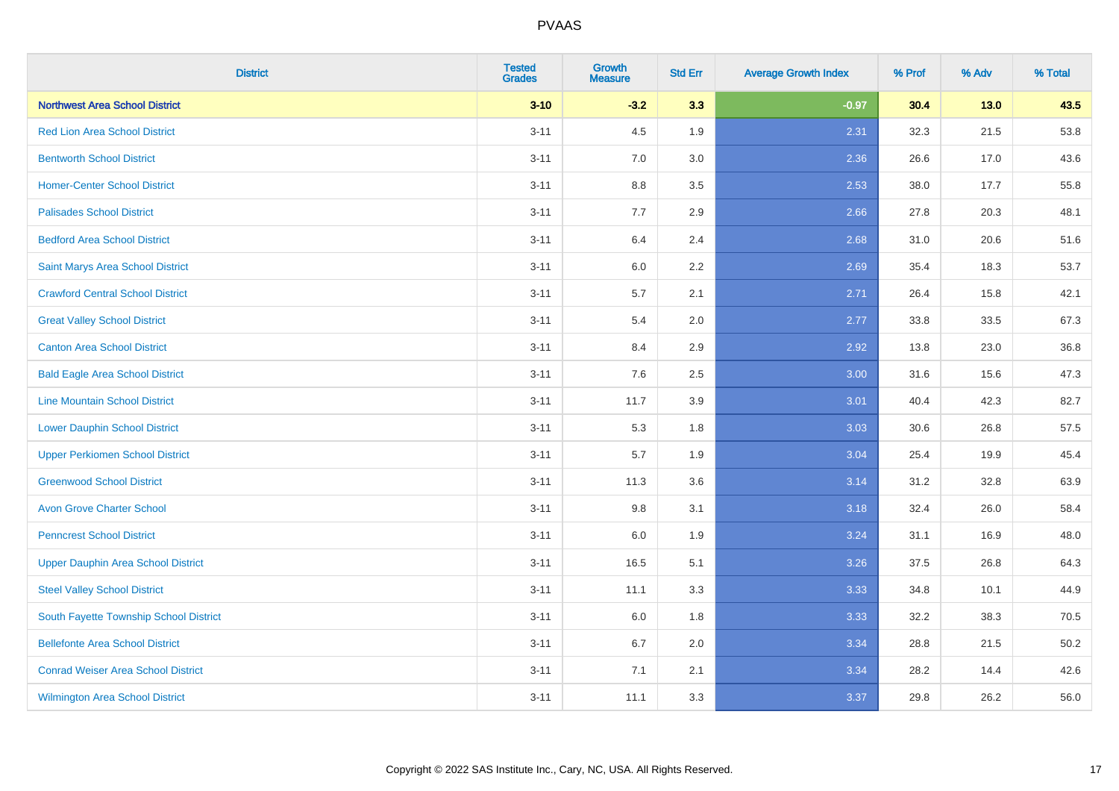| <b>District</b>                           | <b>Tested</b><br><b>Grades</b> | <b>Growth</b><br><b>Measure</b> | <b>Std Err</b> | <b>Average Growth Index</b> | % Prof | % Adv  | % Total |
|-------------------------------------------|--------------------------------|---------------------------------|----------------|-----------------------------|--------|--------|---------|
| <b>Northwest Area School District</b>     | $3 - 10$                       | $-3.2$                          | 3.3            | $-0.97$                     | 30.4   | $13.0$ | 43.5    |
| <b>Red Lion Area School District</b>      | $3 - 11$                       | 4.5                             | 1.9            | 2.31                        | 32.3   | 21.5   | 53.8    |
| <b>Bentworth School District</b>          | $3 - 11$                       | 7.0                             | 3.0            | 2.36                        | 26.6   | 17.0   | 43.6    |
| <b>Homer-Center School District</b>       | $3 - 11$                       | 8.8                             | 3.5            | 2.53                        | 38.0   | 17.7   | 55.8    |
| <b>Palisades School District</b>          | $3 - 11$                       | 7.7                             | 2.9            | 2.66                        | 27.8   | 20.3   | 48.1    |
| <b>Bedford Area School District</b>       | $3 - 11$                       | 6.4                             | 2.4            | 2.68                        | 31.0   | 20.6   | 51.6    |
| Saint Marys Area School District          | $3 - 11$                       | 6.0                             | 2.2            | 2.69                        | 35.4   | 18.3   | 53.7    |
| <b>Crawford Central School District</b>   | $3 - 11$                       | 5.7                             | 2.1            | 2.71                        | 26.4   | 15.8   | 42.1    |
| <b>Great Valley School District</b>       | $3 - 11$                       | 5.4                             | 2.0            | 2.77                        | 33.8   | 33.5   | 67.3    |
| <b>Canton Area School District</b>        | $3 - 11$                       | 8.4                             | 2.9            | 2.92                        | 13.8   | 23.0   | 36.8    |
| <b>Bald Eagle Area School District</b>    | $3 - 11$                       | 7.6                             | 2.5            | 3.00                        | 31.6   | 15.6   | 47.3    |
| <b>Line Mountain School District</b>      | $3 - 11$                       | 11.7                            | 3.9            | 3.01                        | 40.4   | 42.3   | 82.7    |
| <b>Lower Dauphin School District</b>      | $3 - 11$                       | 5.3                             | 1.8            | 3.03                        | 30.6   | 26.8   | 57.5    |
| <b>Upper Perkiomen School District</b>    | $3 - 11$                       | 5.7                             | 1.9            | 3.04                        | 25.4   | 19.9   | 45.4    |
| <b>Greenwood School District</b>          | $3 - 11$                       | 11.3                            | 3.6            | 3.14                        | 31.2   | 32.8   | 63.9    |
| <b>Avon Grove Charter School</b>          | $3 - 11$                       | 9.8                             | 3.1            | 3.18                        | 32.4   | 26.0   | 58.4    |
| <b>Penncrest School District</b>          | $3 - 11$                       | 6.0                             | 1.9            | 3.24                        | 31.1   | 16.9   | 48.0    |
| <b>Upper Dauphin Area School District</b> | $3 - 11$                       | 16.5                            | 5.1            | 3.26                        | 37.5   | 26.8   | 64.3    |
| <b>Steel Valley School District</b>       | $3 - 11$                       | 11.1                            | 3.3            | 3.33                        | 34.8   | 10.1   | 44.9    |
| South Fayette Township School District    | $3 - 11$                       | 6.0                             | 1.8            | 3.33                        | 32.2   | 38.3   | 70.5    |
| <b>Bellefonte Area School District</b>    | $3 - 11$                       | 6.7                             | 2.0            | 3.34                        | 28.8   | 21.5   | 50.2    |
| <b>Conrad Weiser Area School District</b> | $3 - 11$                       | 7.1                             | 2.1            | 3.34                        | 28.2   | 14.4   | 42.6    |
| <b>Wilmington Area School District</b>    | $3 - 11$                       | 11.1                            | 3.3            | 3.37                        | 29.8   | 26.2   | 56.0    |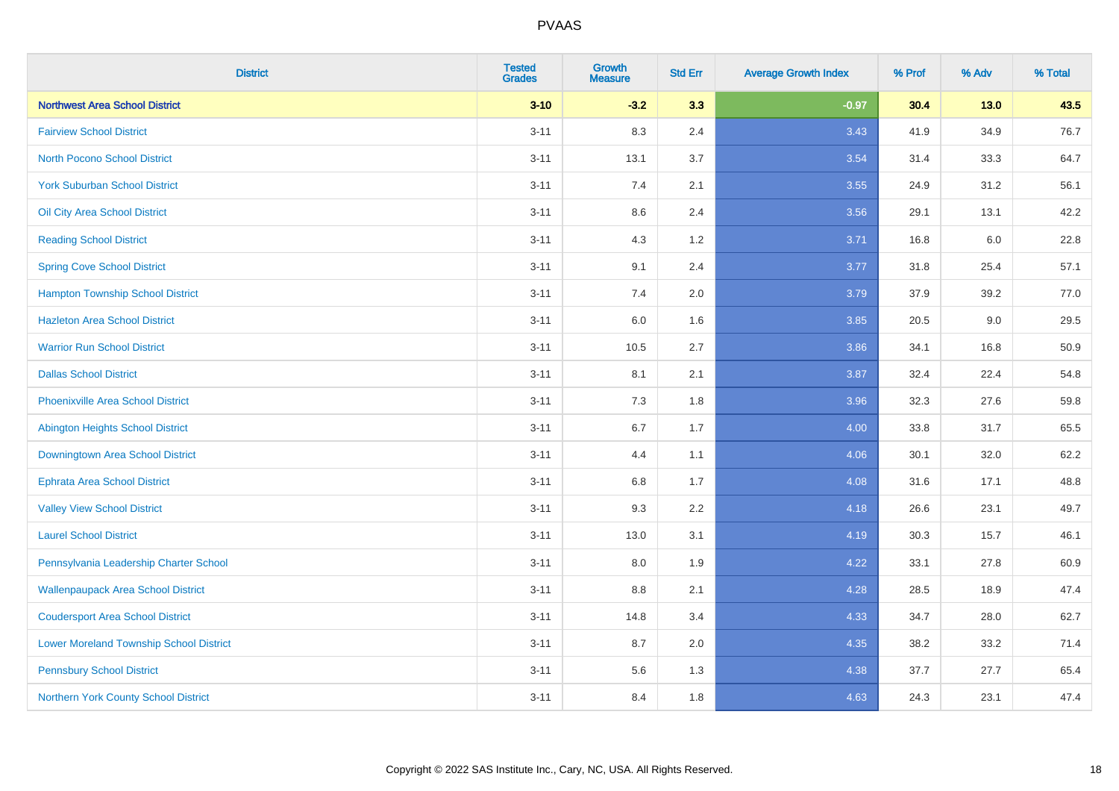| <b>District</b>                                | <b>Tested</b><br><b>Grades</b> | <b>Growth</b><br><b>Measure</b> | <b>Std Err</b> | <b>Average Growth Index</b> | % Prof | % Adv  | % Total |
|------------------------------------------------|--------------------------------|---------------------------------|----------------|-----------------------------|--------|--------|---------|
| <b>Northwest Area School District</b>          | $3 - 10$                       | $-3.2$                          | 3.3            | $-0.97$                     | 30.4   | $13.0$ | 43.5    |
| <b>Fairview School District</b>                | $3 - 11$                       | 8.3                             | 2.4            | 3.43                        | 41.9   | 34.9   | 76.7    |
| <b>North Pocono School District</b>            | $3 - 11$                       | 13.1                            | 3.7            | 3.54                        | 31.4   | 33.3   | 64.7    |
| <b>York Suburban School District</b>           | $3 - 11$                       | 7.4                             | 2.1            | 3.55                        | 24.9   | 31.2   | 56.1    |
| Oil City Area School District                  | $3 - 11$                       | 8.6                             | 2.4            | 3.56                        | 29.1   | 13.1   | 42.2    |
| <b>Reading School District</b>                 | $3 - 11$                       | 4.3                             | 1.2            | 3.71                        | 16.8   | 6.0    | 22.8    |
| <b>Spring Cove School District</b>             | $3 - 11$                       | 9.1                             | 2.4            | 3.77                        | 31.8   | 25.4   | 57.1    |
| <b>Hampton Township School District</b>        | $3 - 11$                       | 7.4                             | 2.0            | 3.79                        | 37.9   | 39.2   | 77.0    |
| <b>Hazleton Area School District</b>           | $3 - 11$                       | 6.0                             | 1.6            | 3.85                        | 20.5   | 9.0    | 29.5    |
| <b>Warrior Run School District</b>             | $3 - 11$                       | 10.5                            | 2.7            | 3.86                        | 34.1   | 16.8   | 50.9    |
| <b>Dallas School District</b>                  | $3 - 11$                       | 8.1                             | 2.1            | 3.87                        | 32.4   | 22.4   | 54.8    |
| Phoenixville Area School District              | $3 - 11$                       | 7.3                             | 1.8            | 3.96                        | 32.3   | 27.6   | 59.8    |
| Abington Heights School District               | $3 - 11$                       | 6.7                             | 1.7            | 4.00                        | 33.8   | 31.7   | 65.5    |
| Downingtown Area School District               | $3 - 11$                       | 4.4                             | 1.1            | 4.06                        | 30.1   | 32.0   | 62.2    |
| <b>Ephrata Area School District</b>            | $3 - 11$                       | 6.8                             | 1.7            | 4.08                        | 31.6   | 17.1   | 48.8    |
| <b>Valley View School District</b>             | $3 - 11$                       | 9.3                             | 2.2            | 4.18                        | 26.6   | 23.1   | 49.7    |
| <b>Laurel School District</b>                  | $3 - 11$                       | 13.0                            | 3.1            | 4.19                        | 30.3   | 15.7   | 46.1    |
| Pennsylvania Leadership Charter School         | $3 - 11$                       | 8.0                             | 1.9            | 4.22                        | 33.1   | 27.8   | 60.9    |
| <b>Wallenpaupack Area School District</b>      | $3 - 11$                       | 8.8                             | 2.1            | 4.28                        | 28.5   | 18.9   | 47.4    |
| <b>Coudersport Area School District</b>        | $3 - 11$                       | 14.8                            | 3.4            | 4.33                        | 34.7   | 28.0   | 62.7    |
| <b>Lower Moreland Township School District</b> | $3 - 11$                       | 8.7                             | 2.0            | 4.35                        | 38.2   | 33.2   | 71.4    |
| <b>Pennsbury School District</b>               | $3 - 11$                       | 5.6                             | 1.3            | 4.38                        | 37.7   | 27.7   | 65.4    |
| Northern York County School District           | $3 - 11$                       | 8.4                             | 1.8            | 4.63                        | 24.3   | 23.1   | 47.4    |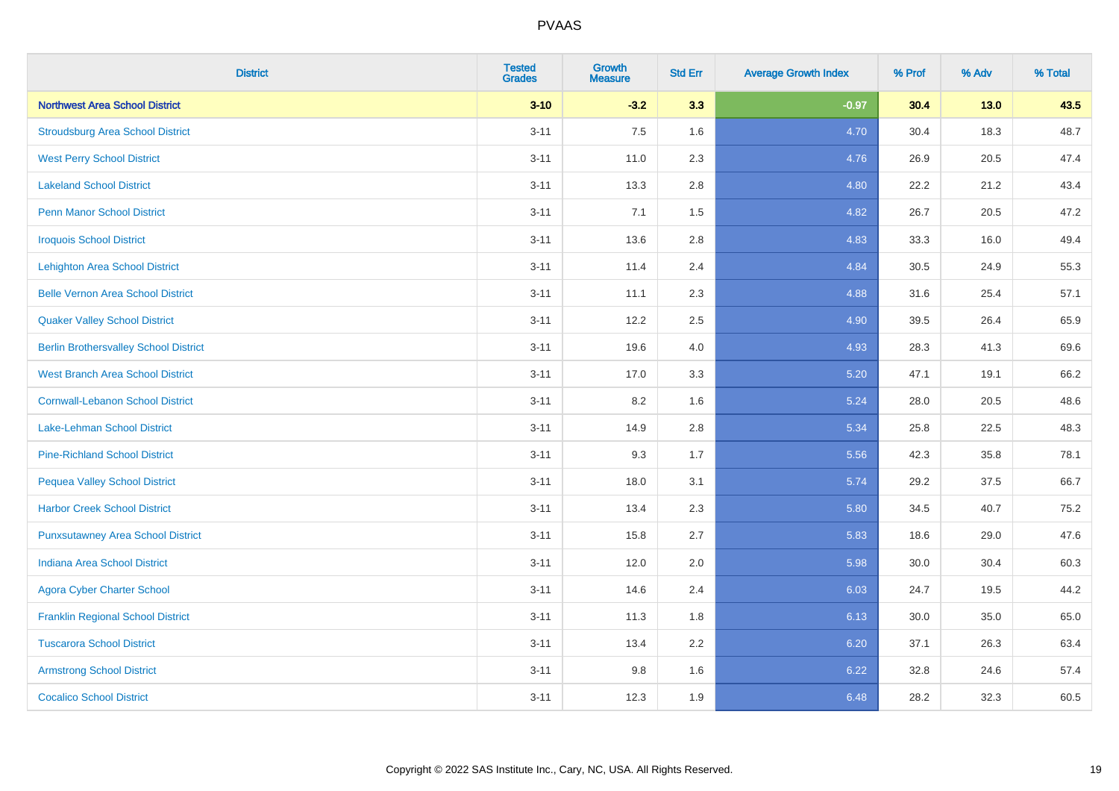| <b>District</b>                              | <b>Tested</b><br><b>Grades</b> | <b>Growth</b><br><b>Measure</b> | <b>Std Err</b> | <b>Average Growth Index</b> | % Prof | % Adv  | % Total |
|----------------------------------------------|--------------------------------|---------------------------------|----------------|-----------------------------|--------|--------|---------|
| <b>Northwest Area School District</b>        | $3 - 10$                       | $-3.2$                          | 3.3            | $-0.97$                     | 30.4   | $13.0$ | 43.5    |
| <b>Stroudsburg Area School District</b>      | $3 - 11$                       | 7.5                             | 1.6            | 4.70                        | 30.4   | 18.3   | 48.7    |
| <b>West Perry School District</b>            | $3 - 11$                       | 11.0                            | 2.3            | 4.76                        | 26.9   | 20.5   | 47.4    |
| <b>Lakeland School District</b>              | $3 - 11$                       | 13.3                            | 2.8            | 4.80                        | 22.2   | 21.2   | 43.4    |
| <b>Penn Manor School District</b>            | $3 - 11$                       | 7.1                             | 1.5            | 4.82                        | 26.7   | 20.5   | 47.2    |
| <b>Iroquois School District</b>              | $3 - 11$                       | 13.6                            | 2.8            | 4.83                        | 33.3   | 16.0   | 49.4    |
| <b>Lehighton Area School District</b>        | $3 - 11$                       | 11.4                            | 2.4            | 4.84                        | 30.5   | 24.9   | 55.3    |
| <b>Belle Vernon Area School District</b>     | $3 - 11$                       | 11.1                            | 2.3            | 4.88                        | 31.6   | 25.4   | 57.1    |
| <b>Quaker Valley School District</b>         | $3 - 11$                       | 12.2                            | 2.5            | 4.90                        | 39.5   | 26.4   | 65.9    |
| <b>Berlin Brothersvalley School District</b> | $3 - 11$                       | 19.6                            | 4.0            | 4.93                        | 28.3   | 41.3   | 69.6    |
| <b>West Branch Area School District</b>      | $3 - 11$                       | 17.0                            | 3.3            | 5.20                        | 47.1   | 19.1   | 66.2    |
| <b>Cornwall-Lebanon School District</b>      | $3 - 11$                       | 8.2                             | 1.6            | 5.24                        | 28.0   | 20.5   | 48.6    |
| Lake-Lehman School District                  | $3 - 11$                       | 14.9                            | 2.8            | 5.34                        | 25.8   | 22.5   | 48.3    |
| <b>Pine-Richland School District</b>         | $3 - 11$                       | 9.3                             | 1.7            | 5.56                        | 42.3   | 35.8   | 78.1    |
| <b>Pequea Valley School District</b>         | $3 - 11$                       | 18.0                            | 3.1            | 5.74                        | 29.2   | 37.5   | 66.7    |
| <b>Harbor Creek School District</b>          | $3 - 11$                       | 13.4                            | 2.3            | 5.80                        | 34.5   | 40.7   | 75.2    |
| <b>Punxsutawney Area School District</b>     | $3 - 11$                       | 15.8                            | 2.7            | 5.83                        | 18.6   | 29.0   | 47.6    |
| <b>Indiana Area School District</b>          | $3 - 11$                       | 12.0                            | 2.0            | 5.98                        | 30.0   | 30.4   | 60.3    |
| <b>Agora Cyber Charter School</b>            | $3 - 11$                       | 14.6                            | 2.4            | 6.03                        | 24.7   | 19.5   | 44.2    |
| <b>Franklin Regional School District</b>     | $3 - 11$                       | 11.3                            | 1.8            | 6.13                        | 30.0   | 35.0   | 65.0    |
| <b>Tuscarora School District</b>             | $3 - 11$                       | 13.4                            | 2.2            | 6.20                        | 37.1   | 26.3   | 63.4    |
| <b>Armstrong School District</b>             | $3 - 11$                       | 9.8                             | 1.6            | 6.22                        | 32.8   | 24.6   | 57.4    |
| <b>Cocalico School District</b>              | $3 - 11$                       | 12.3                            | 1.9            | 6.48                        | 28.2   | 32.3   | 60.5    |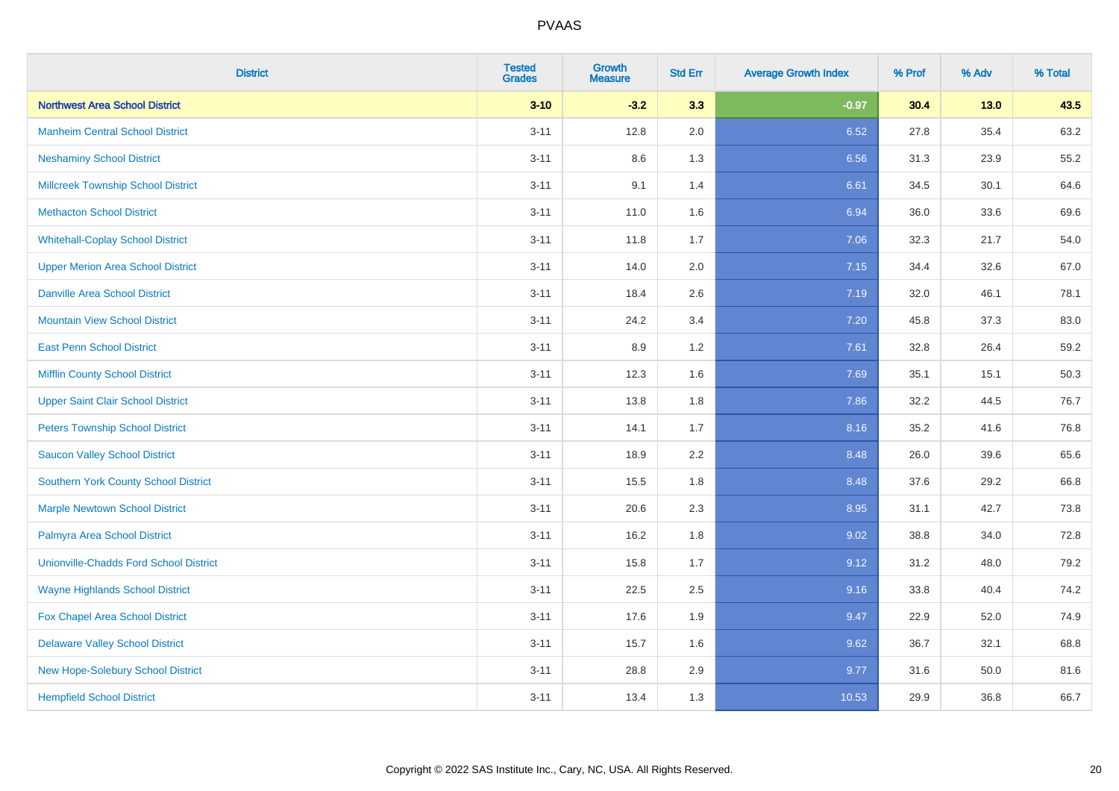| <b>District</b>                               | <b>Tested</b><br><b>Grades</b> | <b>Growth</b><br><b>Measure</b> | <b>Std Err</b> | <b>Average Growth Index</b> | % Prof | % Adv  | % Total |
|-----------------------------------------------|--------------------------------|---------------------------------|----------------|-----------------------------|--------|--------|---------|
| <b>Northwest Area School District</b>         | $3 - 10$                       | $-3.2$                          | 3.3            | $-0.97$                     | 30.4   | $13.0$ | 43.5    |
| <b>Manheim Central School District</b>        | $3 - 11$                       | 12.8                            | 2.0            | 6.52                        | 27.8   | 35.4   | 63.2    |
| <b>Neshaminy School District</b>              | $3 - 11$                       | 8.6                             | 1.3            | 6.56                        | 31.3   | 23.9   | 55.2    |
| <b>Millcreek Township School District</b>     | $3 - 11$                       | 9.1                             | 1.4            | 6.61                        | 34.5   | 30.1   | 64.6    |
| <b>Methacton School District</b>              | $3 - 11$                       | 11.0                            | 1.6            | 6.94                        | 36.0   | 33.6   | 69.6    |
| <b>Whitehall-Coplay School District</b>       | $3 - 11$                       | 11.8                            | 1.7            | 7.06                        | 32.3   | 21.7   | 54.0    |
| <b>Upper Merion Area School District</b>      | $3 - 11$                       | 14.0                            | 2.0            | 7.15                        | 34.4   | 32.6   | 67.0    |
| <b>Danville Area School District</b>          | $3 - 11$                       | 18.4                            | 2.6            | 7.19                        | 32.0   | 46.1   | 78.1    |
| <b>Mountain View School District</b>          | $3 - 11$                       | 24.2                            | 3.4            | 7.20                        | 45.8   | 37.3   | 83.0    |
| <b>East Penn School District</b>              | $3 - 11$                       | 8.9                             | 1.2            | 7.61                        | 32.8   | 26.4   | 59.2    |
| <b>Mifflin County School District</b>         | $3 - 11$                       | 12.3                            | 1.6            | 7.69                        | 35.1   | 15.1   | 50.3    |
| <b>Upper Saint Clair School District</b>      | $3 - 11$                       | 13.8                            | 1.8            | 7.86                        | 32.2   | 44.5   | 76.7    |
| <b>Peters Township School District</b>        | $3 - 11$                       | 14.1                            | 1.7            | 8.16                        | 35.2   | 41.6   | 76.8    |
| <b>Saucon Valley School District</b>          | $3 - 11$                       | 18.9                            | 2.2            | 8.48                        | 26.0   | 39.6   | 65.6    |
| <b>Southern York County School District</b>   | $3 - 11$                       | 15.5                            | 1.8            | 8.48                        | 37.6   | 29.2   | 66.8    |
| <b>Marple Newtown School District</b>         | $3 - 11$                       | 20.6                            | 2.3            | 8.95                        | 31.1   | 42.7   | 73.8    |
| Palmyra Area School District                  | $3 - 11$                       | 16.2                            | 1.8            | 9.02                        | 38.8   | 34.0   | 72.8    |
| <b>Unionville-Chadds Ford School District</b> | $3 - 11$                       | 15.8                            | 1.7            | 9.12                        | 31.2   | 48.0   | 79.2    |
| <b>Wayne Highlands School District</b>        | $3 - 11$                       | 22.5                            | 2.5            | 9.16                        | 33.8   | 40.4   | 74.2    |
| Fox Chapel Area School District               | $3 - 11$                       | 17.6                            | 1.9            | 9.47                        | 22.9   | 52.0   | 74.9    |
| <b>Delaware Valley School District</b>        | $3 - 11$                       | 15.7                            | 1.6            | 9.62                        | 36.7   | 32.1   | 68.8    |
| New Hope-Solebury School District             | $3 - 11$                       | 28.8                            | 2.9            | 9.77                        | 31.6   | 50.0   | 81.6    |
| <b>Hempfield School District</b>              | $3 - 11$                       | 13.4                            | 1.3            | 10.53                       | 29.9   | 36.8   | 66.7    |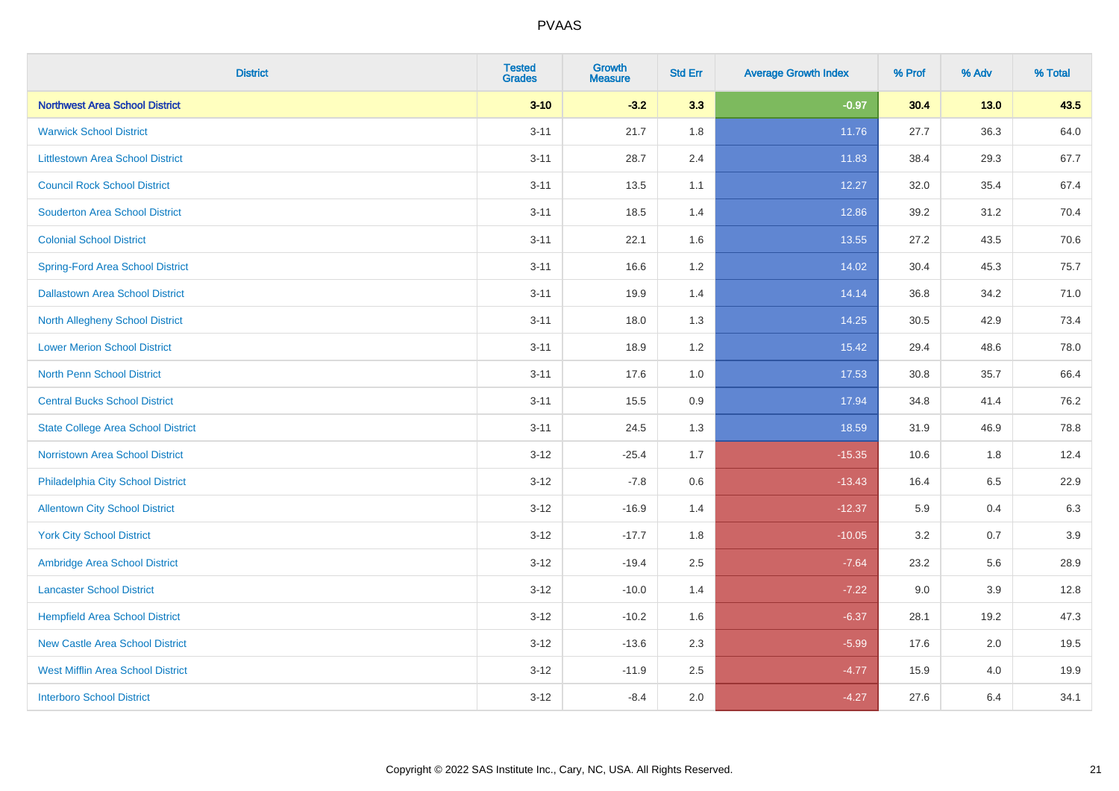| <b>District</b>                           | <b>Tested</b><br><b>Grades</b> | Growth<br><b>Measure</b> | <b>Std Err</b> | <b>Average Growth Index</b> | % Prof | % Adv  | % Total |
|-------------------------------------------|--------------------------------|--------------------------|----------------|-----------------------------|--------|--------|---------|
| <b>Northwest Area School District</b>     | $3 - 10$                       | $-3.2$                   | 3.3            | $-0.97$                     | 30.4   | $13.0$ | 43.5    |
| <b>Warwick School District</b>            | $3 - 11$                       | 21.7                     | 1.8            | 11.76                       | 27.7   | 36.3   | 64.0    |
| <b>Littlestown Area School District</b>   | $3 - 11$                       | 28.7                     | 2.4            | 11.83                       | 38.4   | 29.3   | 67.7    |
| <b>Council Rock School District</b>       | $3 - 11$                       | 13.5                     | 1.1            | 12.27                       | 32.0   | 35.4   | 67.4    |
| <b>Souderton Area School District</b>     | $3 - 11$                       | 18.5                     | 1.4            | 12.86                       | 39.2   | 31.2   | 70.4    |
| <b>Colonial School District</b>           | $3 - 11$                       | 22.1                     | 1.6            | 13.55                       | 27.2   | 43.5   | 70.6    |
| <b>Spring-Ford Area School District</b>   | $3 - 11$                       | 16.6                     | 1.2            | 14.02                       | 30.4   | 45.3   | 75.7    |
| <b>Dallastown Area School District</b>    | $3 - 11$                       | 19.9                     | 1.4            | 14.14                       | 36.8   | 34.2   | 71.0    |
| <b>North Allegheny School District</b>    | $3 - 11$                       | 18.0                     | 1.3            | 14.25                       | 30.5   | 42.9   | 73.4    |
| <b>Lower Merion School District</b>       | $3 - 11$                       | 18.9                     | 1.2            | 15.42                       | 29.4   | 48.6   | 78.0    |
| <b>North Penn School District</b>         | $3 - 11$                       | 17.6                     | 1.0            | 17.53                       | 30.8   | 35.7   | 66.4    |
| <b>Central Bucks School District</b>      | $3 - 11$                       | 15.5                     | 0.9            | 17.94                       | 34.8   | 41.4   | 76.2    |
| <b>State College Area School District</b> | $3 - 11$                       | 24.5                     | 1.3            | 18.59                       | 31.9   | 46.9   | 78.8    |
| Norristown Area School District           | $3 - 12$                       | $-25.4$                  | 1.7            | $-15.35$                    | 10.6   | 1.8    | 12.4    |
| Philadelphia City School District         | $3 - 12$                       | $-7.8$                   | 0.6            | $-13.43$                    | 16.4   | 6.5    | 22.9    |
| <b>Allentown City School District</b>     | $3 - 12$                       | $-16.9$                  | 1.4            | $-12.37$                    | 5.9    | 0.4    | 6.3     |
| <b>York City School District</b>          | $3 - 12$                       | $-17.7$                  | 1.8            | $-10.05$                    | 3.2    | 0.7    | 3.9     |
| Ambridge Area School District             | $3 - 12$                       | $-19.4$                  | 2.5            | $-7.64$                     | 23.2   | 5.6    | 28.9    |
| <b>Lancaster School District</b>          | $3 - 12$                       | $-10.0$                  | 1.4            | $-7.22$                     | 9.0    | 3.9    | 12.8    |
| <b>Hempfield Area School District</b>     | $3 - 12$                       | $-10.2$                  | 1.6            | $-6.37$                     | 28.1   | 19.2   | 47.3    |
| <b>New Castle Area School District</b>    | $3 - 12$                       | $-13.6$                  | 2.3            | $-5.99$                     | 17.6   | 2.0    | 19.5    |
| <b>West Mifflin Area School District</b>  | $3 - 12$                       | $-11.9$                  | 2.5            | $-4.77$                     | 15.9   | 4.0    | 19.9    |
| <b>Interboro School District</b>          | $3 - 12$                       | $-8.4$                   | 2.0            | $-4.27$                     | 27.6   | 6.4    | 34.1    |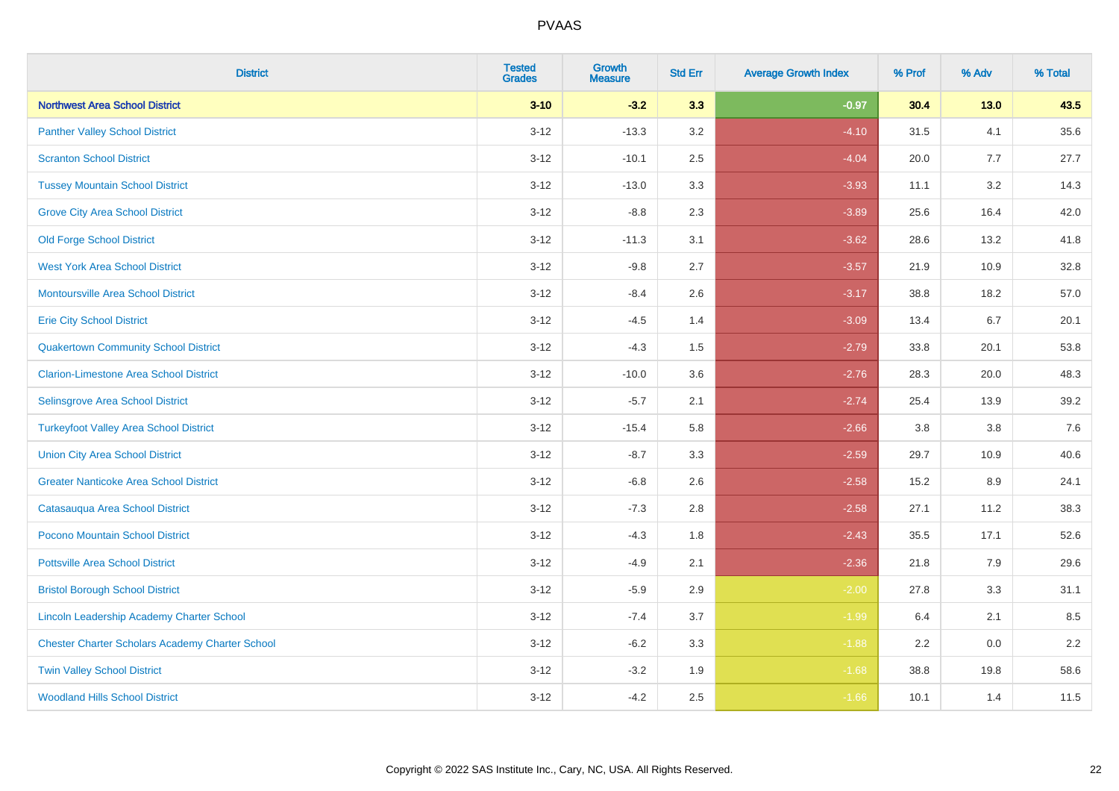| <b>District</b>                                        | <b>Tested</b><br><b>Grades</b> | <b>Growth</b><br><b>Measure</b> | <b>Std Err</b> | <b>Average Growth Index</b> | % Prof  | % Adv   | % Total |
|--------------------------------------------------------|--------------------------------|---------------------------------|----------------|-----------------------------|---------|---------|---------|
| <b>Northwest Area School District</b>                  | $3 - 10$                       | $-3.2$                          | 3.3            | $-0.97$                     | 30.4    | $13.0$  | 43.5    |
| <b>Panther Valley School District</b>                  | $3 - 12$                       | $-13.3$                         | 3.2            | $-4.10$                     | 31.5    | 4.1     | 35.6    |
| <b>Scranton School District</b>                        | $3-12$                         | $-10.1$                         | 2.5            | $-4.04$                     | 20.0    | 7.7     | 27.7    |
| <b>Tussey Mountain School District</b>                 | $3 - 12$                       | $-13.0$                         | 3.3            | $-3.93$                     | 11.1    | 3.2     | 14.3    |
| <b>Grove City Area School District</b>                 | $3-12$                         | $-8.8$                          | 2.3            | $-3.89$                     | 25.6    | 16.4    | 42.0    |
| <b>Old Forge School District</b>                       | $3-12$                         | $-11.3$                         | 3.1            | $-3.62$                     | 28.6    | 13.2    | 41.8    |
| <b>West York Area School District</b>                  | $3 - 12$                       | $-9.8$                          | 2.7            | $-3.57$                     | 21.9    | 10.9    | 32.8    |
| <b>Montoursville Area School District</b>              | $3 - 12$                       | $-8.4$                          | 2.6            | $-3.17$                     | 38.8    | 18.2    | 57.0    |
| <b>Erie City School District</b>                       | $3-12$                         | $-4.5$                          | 1.4            | $-3.09$                     | 13.4    | 6.7     | 20.1    |
| <b>Quakertown Community School District</b>            | $3-12$                         | $-4.3$                          | 1.5            | $-2.79$                     | 33.8    | 20.1    | 53.8    |
| <b>Clarion-Limestone Area School District</b>          | $3-12$                         | $-10.0$                         | 3.6            | $-2.76$                     | 28.3    | 20.0    | 48.3    |
| Selinsgrove Area School District                       | $3 - 12$                       | $-5.7$                          | 2.1            | $-2.74$                     | 25.4    | 13.9    | 39.2    |
| <b>Turkeyfoot Valley Area School District</b>          | $3-12$                         | $-15.4$                         | 5.8            | $-2.66$                     | $3.8\,$ | $3.8\,$ | 7.6     |
| <b>Union City Area School District</b>                 | $3 - 12$                       | $-8.7$                          | 3.3            | $-2.59$                     | 29.7    | 10.9    | 40.6    |
| <b>Greater Nanticoke Area School District</b>          | $3 - 12$                       | $-6.8$                          | 2.6            | $-2.58$                     | 15.2    | 8.9     | 24.1    |
| Catasauqua Area School District                        | $3 - 12$                       | $-7.3$                          | 2.8            | $-2.58$                     | 27.1    | 11.2    | 38.3    |
| Pocono Mountain School District                        | $3-12$                         | $-4.3$                          | 1.8            | $-2.43$                     | 35.5    | 17.1    | 52.6    |
| <b>Pottsville Area School District</b>                 | $3-12$                         | $-4.9$                          | 2.1            | $-2.36$                     | 21.8    | 7.9     | 29.6    |
| <b>Bristol Borough School District</b>                 | $3 - 12$                       | $-5.9$                          | 2.9            | $-2.00$                     | 27.8    | 3.3     | 31.1    |
| Lincoln Leadership Academy Charter School              | $3 - 12$                       | $-7.4$                          | 3.7            | $-1.99$                     | 6.4     | 2.1     | 8.5     |
| <b>Chester Charter Scholars Academy Charter School</b> | $3 - 12$                       | $-6.2$                          | 3.3            | $-1.88$                     | 2.2     | 0.0     | 2.2     |
| <b>Twin Valley School District</b>                     | $3 - 12$                       | $-3.2$                          | 1.9            | $-1.68$                     | 38.8    | 19.8    | 58.6    |
| <b>Woodland Hills School District</b>                  | $3-12$                         | $-4.2$                          | 2.5            | $-1.66$                     | 10.1    | 1.4     | 11.5    |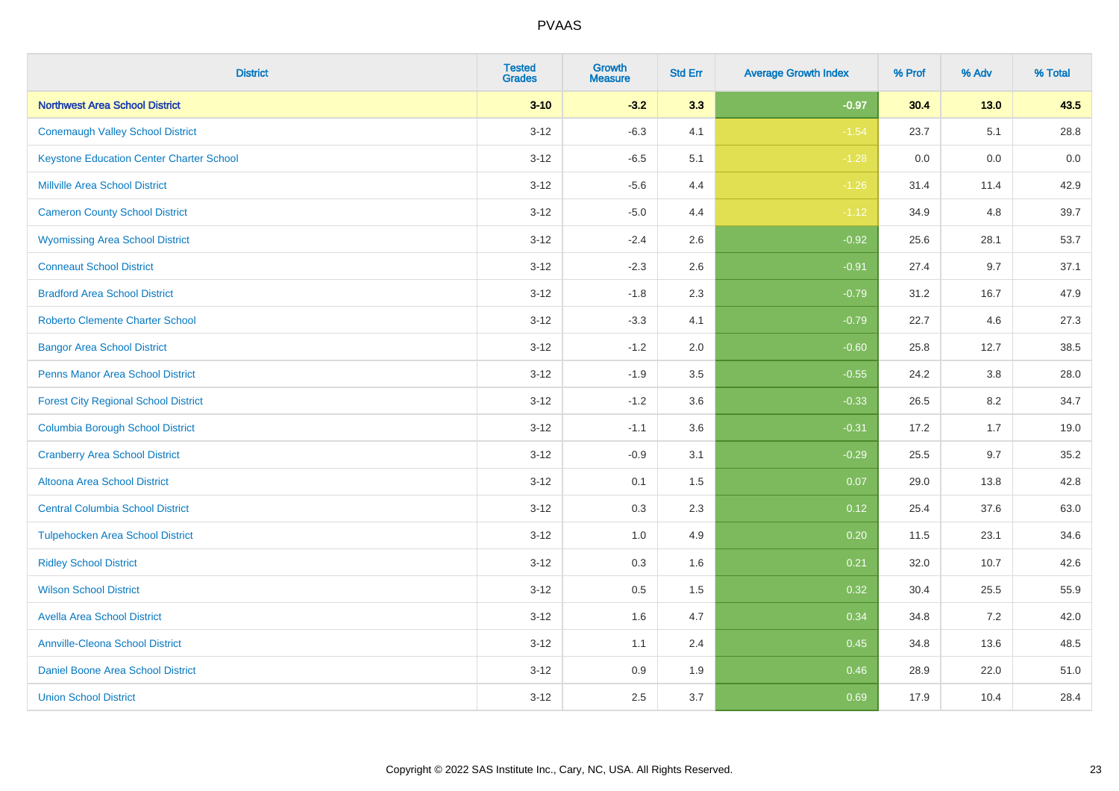| <b>District</b>                                 | <b>Tested</b><br><b>Grades</b> | <b>Growth</b><br><b>Measure</b> | <b>Std Err</b> | <b>Average Growth Index</b> | % Prof | % Adv  | % Total |
|-------------------------------------------------|--------------------------------|---------------------------------|----------------|-----------------------------|--------|--------|---------|
| <b>Northwest Area School District</b>           | $3 - 10$                       | $-3.2$                          | 3.3            | $-0.97$                     | 30.4   | $13.0$ | 43.5    |
| <b>Conemaugh Valley School District</b>         | $3 - 12$                       | $-6.3$                          | 4.1            | $-1.54$                     | 23.7   | 5.1    | 28.8    |
| <b>Keystone Education Center Charter School</b> | $3 - 12$                       | $-6.5$                          | 5.1            | $-1.28$                     | 0.0    | 0.0    | 0.0     |
| <b>Millville Area School District</b>           | $3 - 12$                       | $-5.6$                          | 4.4            | $-1.26$                     | 31.4   | 11.4   | 42.9    |
| <b>Cameron County School District</b>           | $3-12$                         | $-5.0$                          | 4.4            | $-1.12$                     | 34.9   | 4.8    | 39.7    |
| <b>Wyomissing Area School District</b>          | $3 - 12$                       | $-2.4$                          | 2.6            | $-0.92$                     | 25.6   | 28.1   | 53.7    |
| <b>Conneaut School District</b>                 | $3 - 12$                       | $-2.3$                          | 2.6            | $-0.91$                     | 27.4   | 9.7    | 37.1    |
| <b>Bradford Area School District</b>            | $3 - 12$                       | $-1.8$                          | 2.3            | $-0.79$                     | 31.2   | 16.7   | 47.9    |
| <b>Roberto Clemente Charter School</b>          | $3 - 12$                       | $-3.3$                          | 4.1            | $-0.79$                     | 22.7   | 4.6    | 27.3    |
| <b>Bangor Area School District</b>              | $3 - 12$                       | $-1.2$                          | 2.0            | $-0.60$                     | 25.8   | 12.7   | 38.5    |
| <b>Penns Manor Area School District</b>         | $3 - 12$                       | $-1.9$                          | 3.5            | $-0.55$                     | 24.2   | 3.8    | 28.0    |
| <b>Forest City Regional School District</b>     | $3 - 12$                       | $-1.2$                          | 3.6            | $-0.33$                     | 26.5   | 8.2    | 34.7    |
| <b>Columbia Borough School District</b>         | $3 - 12$                       | $-1.1$                          | 3.6            | $-0.31$                     | 17.2   | 1.7    | 19.0    |
| <b>Cranberry Area School District</b>           | $3 - 12$                       | $-0.9$                          | 3.1            | $-0.29$                     | 25.5   | 9.7    | 35.2    |
| Altoona Area School District                    | $3 - 12$                       | 0.1                             | 1.5            | 0.07                        | 29.0   | 13.8   | 42.8    |
| <b>Central Columbia School District</b>         | $3 - 12$                       | 0.3                             | 2.3            | 0.12                        | 25.4   | 37.6   | 63.0    |
| <b>Tulpehocken Area School District</b>         | $3 - 12$                       | 1.0                             | 4.9            | 0.20                        | 11.5   | 23.1   | 34.6    |
| <b>Ridley School District</b>                   | $3 - 12$                       | 0.3                             | 1.6            | 0.21                        | 32.0   | 10.7   | 42.6    |
| <b>Wilson School District</b>                   | $3 - 12$                       | $0.5\,$                         | 1.5            | 0.32                        | 30.4   | 25.5   | 55.9    |
| <b>Avella Area School District</b>              | $3-12$                         | 1.6                             | 4.7            | 0.34                        | 34.8   | 7.2    | 42.0    |
| <b>Annville-Cleona School District</b>          | $3 - 12$                       | 1.1                             | 2.4            | 0.45                        | 34.8   | 13.6   | 48.5    |
| Daniel Boone Area School District               | $3 - 12$                       | $0.9\,$                         | 1.9            | 0.46                        | 28.9   | 22.0   | 51.0    |
| <b>Union School District</b>                    | $3-12$                         | 2.5                             | 3.7            | 0.69                        | 17.9   | 10.4   | 28.4    |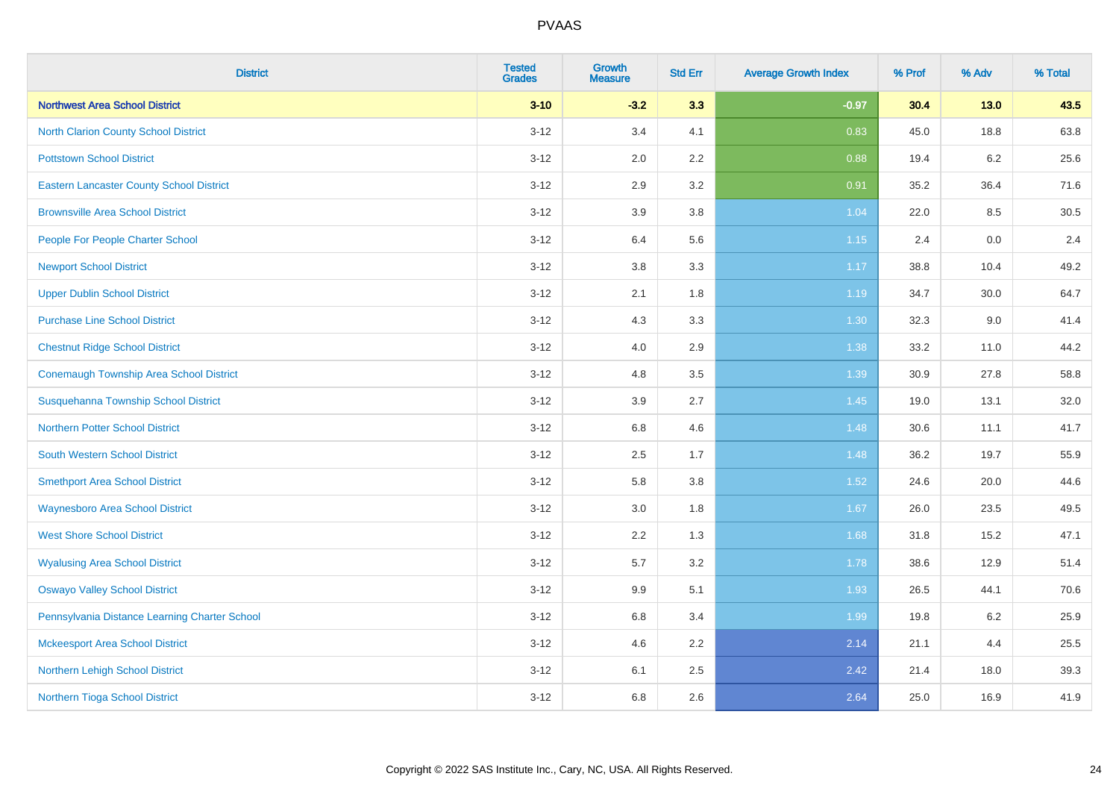| <b>District</b>                                 | <b>Tested</b><br><b>Grades</b> | <b>Growth</b><br><b>Measure</b> | <b>Std Err</b> | <b>Average Growth Index</b> | % Prof | % Adv   | % Total |
|-------------------------------------------------|--------------------------------|---------------------------------|----------------|-----------------------------|--------|---------|---------|
| <b>Northwest Area School District</b>           | $3 - 10$                       | $-3.2$                          | 3.3            | $-0.97$                     | 30.4   | 13.0    | 43.5    |
| <b>North Clarion County School District</b>     | $3 - 12$                       | 3.4                             | 4.1            | 0.83                        | 45.0   | 18.8    | 63.8    |
| <b>Pottstown School District</b>                | $3 - 12$                       | 2.0                             | 2.2            | 0.88                        | 19.4   | $6.2\,$ | 25.6    |
| <b>Eastern Lancaster County School District</b> | $3-12$                         | 2.9                             | 3.2            | 0.91                        | 35.2   | 36.4    | 71.6    |
| <b>Brownsville Area School District</b>         | $3 - 12$                       | 3.9                             | 3.8            | 1.04                        | 22.0   | 8.5     | 30.5    |
| People For People Charter School                | $3 - 12$                       | 6.4                             | 5.6            | 1.15                        | 2.4    | 0.0     | 2.4     |
| <b>Newport School District</b>                  | $3-12$                         | $3.8\,$                         | 3.3            | 1.17                        | 38.8   | 10.4    | 49.2    |
| <b>Upper Dublin School District</b>             | $3 - 12$                       | 2.1                             | 1.8            | 1.19                        | 34.7   | 30.0    | 64.7    |
| <b>Purchase Line School District</b>            | $3 - 12$                       | 4.3                             | 3.3            | 1.30                        | 32.3   | 9.0     | 41.4    |
| <b>Chestnut Ridge School District</b>           | $3 - 12$                       | 4.0                             | 2.9            | 1.38                        | 33.2   | 11.0    | 44.2    |
| <b>Conemaugh Township Area School District</b>  | $3 - 12$                       | 4.8                             | 3.5            | 1.39                        | 30.9   | 27.8    | 58.8    |
| Susquehanna Township School District            | $3 - 12$                       | 3.9                             | 2.7            | 1.45                        | 19.0   | 13.1    | 32.0    |
| <b>Northern Potter School District</b>          | $3 - 12$                       | 6.8                             | 4.6            | 1.48                        | 30.6   | 11.1    | 41.7    |
| <b>South Western School District</b>            | $3-12$                         | 2.5                             | 1.7            | 1.48                        | 36.2   | 19.7    | 55.9    |
| <b>Smethport Area School District</b>           | $3 - 12$                       | 5.8                             | 3.8            | 1.52                        | 24.6   | 20.0    | 44.6    |
| <b>Waynesboro Area School District</b>          | $3-12$                         | 3.0                             | 1.8            | 1.67                        | 26.0   | 23.5    | 49.5    |
| <b>West Shore School District</b>               | $3-12$                         | 2.2                             | 1.3            | 1.68                        | 31.8   | 15.2    | 47.1    |
| <b>Wyalusing Area School District</b>           | $3 - 12$                       | 5.7                             | 3.2            | 1.78                        | 38.6   | 12.9    | 51.4    |
| <b>Oswayo Valley School District</b>            | $3 - 12$                       | 9.9                             | 5.1            | 1.93                        | 26.5   | 44.1    | 70.6    |
| Pennsylvania Distance Learning Charter School   | $3-12$                         | 6.8                             | 3.4            | 1.99                        | 19.8   | $6.2\,$ | 25.9    |
| <b>Mckeesport Area School District</b>          | $3-12$                         | 4.6                             | 2.2            | 2.14                        | 21.1   | 4.4     | 25.5    |
| Northern Lehigh School District                 | $3 - 12$                       | 6.1                             | 2.5            | 2.42                        | 21.4   | 18.0    | 39.3    |
| Northern Tioga School District                  | $3-12$                         | 6.8                             | 2.6            | 2.64                        | 25.0   | 16.9    | 41.9    |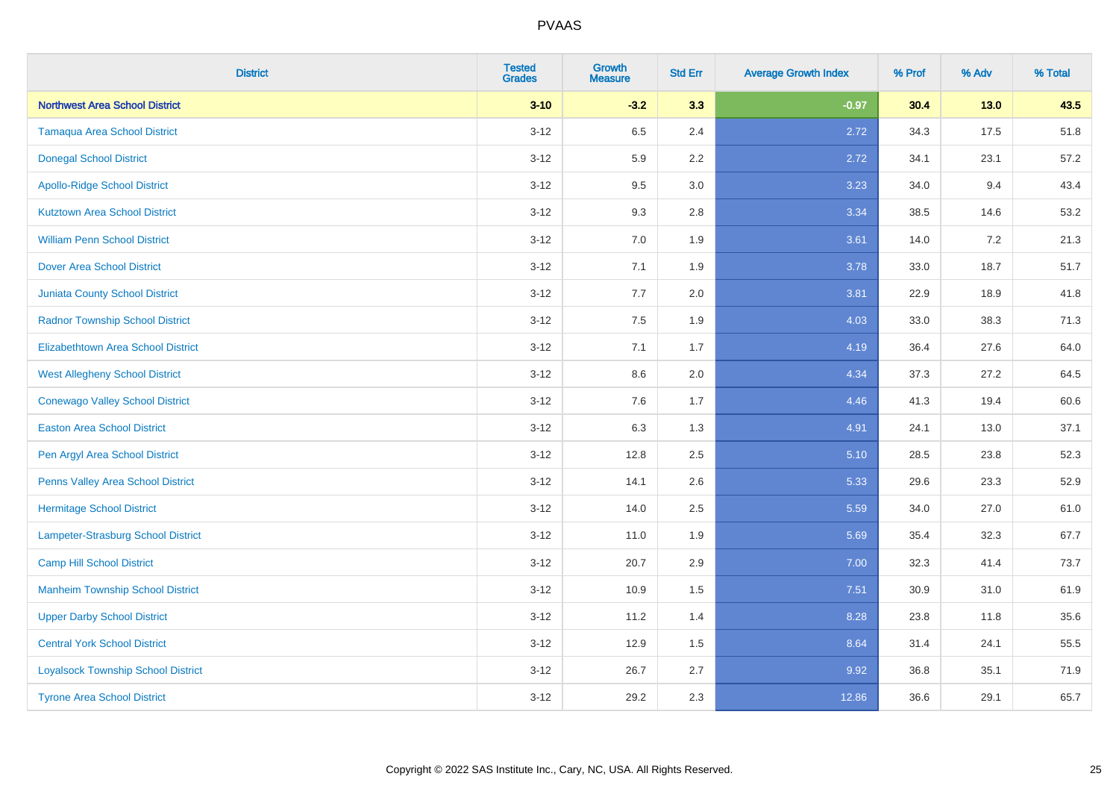| <b>District</b>                           | <b>Tested</b><br><b>Grades</b> | Growth<br><b>Measure</b> | <b>Std Err</b> | <b>Average Growth Index</b> | % Prof | % Adv   | % Total |
|-------------------------------------------|--------------------------------|--------------------------|----------------|-----------------------------|--------|---------|---------|
| <b>Northwest Area School District</b>     | $3 - 10$                       | $-3.2$                   | 3.3            | $-0.97$                     | 30.4   | $13.0$  | 43.5    |
| <b>Tamaqua Area School District</b>       | $3-12$                         | 6.5                      | 2.4            | 2.72                        | 34.3   | 17.5    | 51.8    |
| <b>Donegal School District</b>            | $3 - 12$                       | 5.9                      | 2.2            | 2.72                        | 34.1   | 23.1    | 57.2    |
| <b>Apollo-Ridge School District</b>       | $3 - 12$                       | 9.5                      | 3.0            | 3.23                        | 34.0   | 9.4     | 43.4    |
| <b>Kutztown Area School District</b>      | $3 - 12$                       | 9.3                      | 2.8            | 3.34                        | 38.5   | 14.6    | 53.2    |
| <b>William Penn School District</b>       | $3 - 12$                       | 7.0                      | 1.9            | 3.61                        | 14.0   | $7.2\,$ | 21.3    |
| <b>Dover Area School District</b>         | $3 - 12$                       | 7.1                      | 1.9            | 3.78                        | 33.0   | 18.7    | 51.7    |
| <b>Juniata County School District</b>     | $3 - 12$                       | 7.7                      | 2.0            | 3.81                        | 22.9   | 18.9    | 41.8    |
| <b>Radnor Township School District</b>    | $3-12$                         | 7.5                      | 1.9            | 4.03                        | 33.0   | 38.3    | 71.3    |
| <b>Elizabethtown Area School District</b> | $3 - 12$                       | 7.1                      | 1.7            | 4.19                        | 36.4   | 27.6    | 64.0    |
| <b>West Allegheny School District</b>     | $3-12$                         | 8.6                      | 2.0            | 4.34                        | 37.3   | 27.2    | 64.5    |
| <b>Conewago Valley School District</b>    | $3-12$                         | 7.6                      | 1.7            | 4.46                        | 41.3   | 19.4    | 60.6    |
| <b>Easton Area School District</b>        | $3 - 12$                       | 6.3                      | 1.3            | 4.91                        | 24.1   | 13.0    | 37.1    |
| Pen Argyl Area School District            | $3 - 12$                       | 12.8                     | 2.5            | 5.10                        | 28.5   | 23.8    | 52.3    |
| Penns Valley Area School District         | $3 - 12$                       | 14.1                     | 2.6            | 5.33                        | 29.6   | 23.3    | 52.9    |
| <b>Hermitage School District</b>          | $3 - 12$                       | 14.0                     | 2.5            | 5.59                        | 34.0   | 27.0    | 61.0    |
| Lampeter-Strasburg School District        | $3 - 12$                       | 11.0                     | 1.9            | 5.69                        | 35.4   | 32.3    | 67.7    |
| <b>Camp Hill School District</b>          | $3 - 12$                       | 20.7                     | 2.9            | 7.00                        | 32.3   | 41.4    | 73.7    |
| <b>Manheim Township School District</b>   | $3-12$                         | 10.9                     | 1.5            | 7.51                        | 30.9   | 31.0    | 61.9    |
| <b>Upper Darby School District</b>        | $3 - 12$                       | 11.2                     | 1.4            | 8.28                        | 23.8   | 11.8    | 35.6    |
| <b>Central York School District</b>       | $3-12$                         | 12.9                     | 1.5            | 8.64                        | 31.4   | 24.1    | 55.5    |
| <b>Loyalsock Township School District</b> | $3 - 12$                       | 26.7                     | 2.7            | 9.92                        | 36.8   | 35.1    | 71.9    |
| <b>Tyrone Area School District</b>        | $3 - 12$                       | 29.2                     | 2.3            | 12.86                       | 36.6   | 29.1    | 65.7    |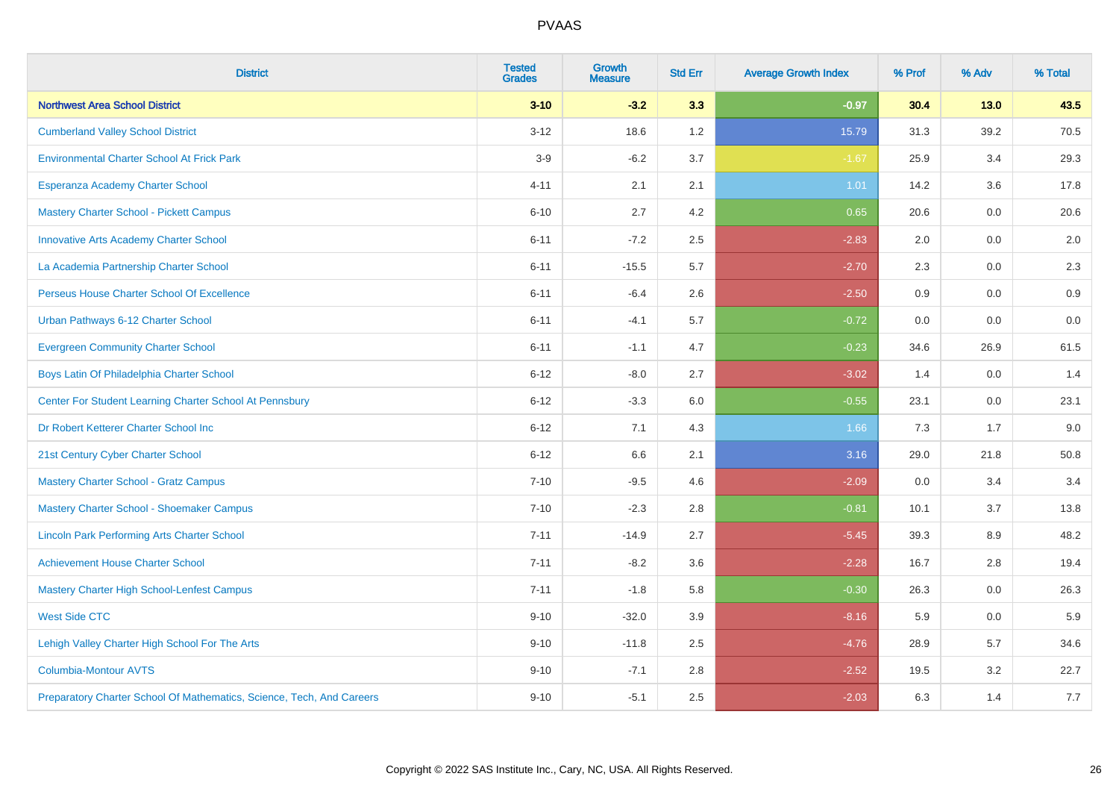| <b>District</b>                                                       | <b>Tested</b><br><b>Grades</b> | <b>Growth</b><br><b>Measure</b> | <b>Std Err</b> | <b>Average Growth Index</b> | % Prof | % Adv | % Total |
|-----------------------------------------------------------------------|--------------------------------|---------------------------------|----------------|-----------------------------|--------|-------|---------|
| <b>Northwest Area School District</b>                                 | $3 - 10$                       | $-3.2$                          | 3.3            | $-0.97$                     | 30.4   | 13.0  | 43.5    |
| <b>Cumberland Valley School District</b>                              | $3 - 12$                       | 18.6                            | 1.2            | 15.79                       | 31.3   | 39.2  | 70.5    |
| <b>Environmental Charter School At Frick Park</b>                     | $3-9$                          | $-6.2$                          | 3.7            | $-1.67$                     | 25.9   | 3.4   | 29.3    |
| Esperanza Academy Charter School                                      | $4 - 11$                       | 2.1                             | 2.1            | 1.01                        | 14.2   | 3.6   | 17.8    |
| <b>Mastery Charter School - Pickett Campus</b>                        | $6 - 10$                       | 2.7                             | 4.2            | 0.65                        | 20.6   | 0.0   | 20.6    |
| <b>Innovative Arts Academy Charter School</b>                         | $6 - 11$                       | $-7.2$                          | 2.5            | $-2.83$                     | 2.0    | 0.0   | 2.0     |
| La Academia Partnership Charter School                                | $6 - 11$                       | $-15.5$                         | 5.7            | $-2.70$                     | 2.3    | 0.0   | 2.3     |
| Perseus House Charter School Of Excellence                            | $6 - 11$                       | $-6.4$                          | 2.6            | $-2.50$                     | 0.9    | 0.0   | 0.9     |
| Urban Pathways 6-12 Charter School                                    | $6 - 11$                       | $-4.1$                          | 5.7            | $-0.72$                     | 0.0    | 0.0   | $0.0\,$ |
| <b>Evergreen Community Charter School</b>                             | $6 - 11$                       | $-1.1$                          | 4.7            | $-0.23$                     | 34.6   | 26.9  | 61.5    |
| Boys Latin Of Philadelphia Charter School                             | $6 - 12$                       | $-8.0$                          | 2.7            | $-3.02$                     | 1.4    | 0.0   | 1.4     |
| Center For Student Learning Charter School At Pennsbury               | $6 - 12$                       | $-3.3$                          | 6.0            | $-0.55$                     | 23.1   | 0.0   | 23.1    |
| Dr Robert Ketterer Charter School Inc                                 | $6 - 12$                       | 7.1                             | 4.3            | 1.66                        | 7.3    | 1.7   | 9.0     |
| 21st Century Cyber Charter School                                     | $6 - 12$                       | 6.6                             | 2.1            | 3.16                        | 29.0   | 21.8  | 50.8    |
| <b>Mastery Charter School - Gratz Campus</b>                          | $7 - 10$                       | $-9.5$                          | 4.6            | $-2.09$                     | 0.0    | 3.4   | 3.4     |
| Mastery Charter School - Shoemaker Campus                             | $7 - 10$                       | $-2.3$                          | 2.8            | $-0.81$                     | 10.1   | 3.7   | 13.8    |
| <b>Lincoln Park Performing Arts Charter School</b>                    | $7 - 11$                       | $-14.9$                         | 2.7            | $-5.45$                     | 39.3   | 8.9   | 48.2    |
| <b>Achievement House Charter School</b>                               | $7 - 11$                       | $-8.2$                          | 3.6            | $-2.28$                     | 16.7   | 2.8   | 19.4    |
| <b>Mastery Charter High School-Lenfest Campus</b>                     | $7 - 11$                       | $-1.8$                          | 5.8            | $-0.30$                     | 26.3   | 0.0   | 26.3    |
| <b>West Side CTC</b>                                                  | $9 - 10$                       | $-32.0$                         | 3.9            | $-8.16$                     | 5.9    | 0.0   | 5.9     |
| Lehigh Valley Charter High School For The Arts                        | $9 - 10$                       | $-11.8$                         | 2.5            | $-4.76$                     | 28.9   | 5.7   | 34.6    |
| <b>Columbia-Montour AVTS</b>                                          | $9 - 10$                       | $-7.1$                          | 2.8            | $-2.52$                     | 19.5   | 3.2   | 22.7    |
| Preparatory Charter School Of Mathematics, Science, Tech, And Careers | $9 - 10$                       | $-5.1$                          | 2.5            | $-2.03$                     | 6.3    | 1.4   | 7.7     |